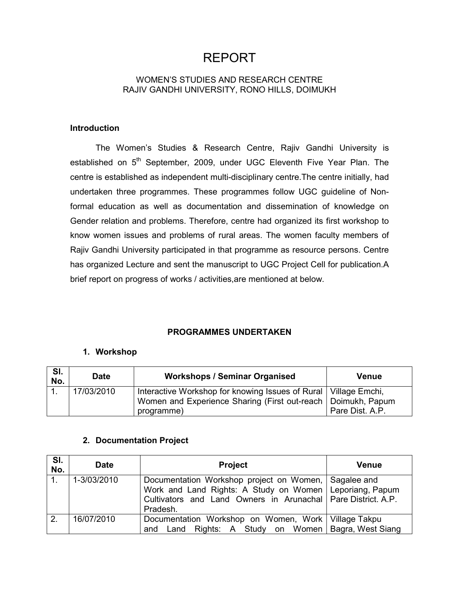# **REPORT**

# **WOMEN'S STUDIES AND RESEARCH CENTRE** RAJIV GANDHI UNIVERSITY, RONO HILLS, DOIMUKH

### **Introduction**

The Women's Studies & Research Centre, Rajiv Gandhi University is established on 5<sup>th</sup> September, 2009, under UGC Eleventh Five Year Plan. The centre is established as independent multi-disciplinary centre. The centre initially, had undertaken three programmes. These programmes follow UGC guideline of Nonformal education as well as documentation and dissemination of knowledge on Gender relation and problems. Therefore, centre had organized its first workshop to know women issues and problems of rural areas. The women faculty members of Rajiv Gandhi University participated in that programme as resource persons. Centre has organized Lecture and sent the manuscript to UGC Project Cell for publication.A brief report on progress of works / activities, are mentioned at below.

# **PROGRAMMES UNDERTAKEN**

#### 1. Workshop

| SI.<br>No. | <b>Date</b> | <b>Workshops / Seminar Organised</b>                                                                                                              | Venue           |
|------------|-------------|---------------------------------------------------------------------------------------------------------------------------------------------------|-----------------|
|            | 17/03/2010  | Interactive Workshop for knowing Issues of Rural   Village Emchi,<br>Women and Experience Sharing (First out-reach   Doimukh, Papum<br>programme) | Pare Dist, A.P. |

# 2. Documentation Project

| SI.<br>No. | <b>Date</b> | <b>Project</b>                                                                                                                                                                      | <b>Venue</b> |
|------------|-------------|-------------------------------------------------------------------------------------------------------------------------------------------------------------------------------------|--------------|
|            | 1-3/03/2010 | Documentation Workshop project on Women, Sagalee and<br>Work and Land Rights: A Study on Women   Leporiang, Papum<br>Cultivators and Land Owners in Arunachal   Pare District. A.P. |              |
| 2.         | 16/07/2010  | Documentation Workshop on Women, Work   Village Takpu                                                                                                                               |              |
|            |             | Pradesh.<br>and Land Rights: A Study on Women   Bagra, West Siang                                                                                                                   |              |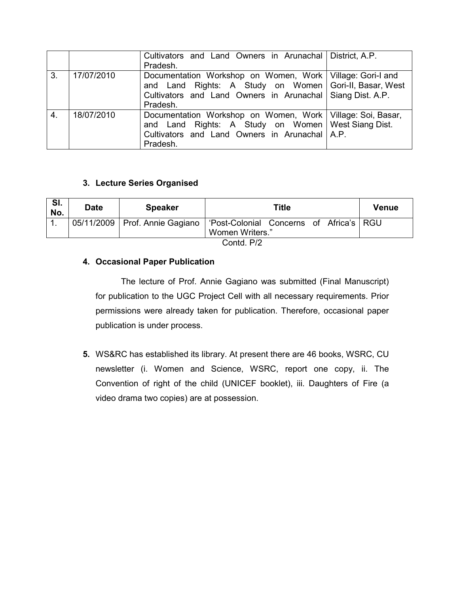|    |            | Cultivators and Land Owners in Arunachal   District, A.P.<br>Pradesh.                                                                                                                            |  |
|----|------------|--------------------------------------------------------------------------------------------------------------------------------------------------------------------------------------------------|--|
| 3. | 17/07/2010 | Documentation Workshop on Women, Work   Village: Gori-I and<br>and Land Rights: A Study on Women   Gori-II, Basar, West<br>Cultivators and Land Owners in Arunachal Siang Dist. A.P.<br>Pradesh. |  |
| 4. | 18/07/2010 | Documentation Workshop on Women, Work   Village: Soi, Basar,<br>and Land Rights: A Study on Women   West Siang Dist.<br>Cultivators and Land Owners in Arunachal   A.P.<br>Pradesh.              |  |

# 3. Lecture Series Organised

| SI.<br>No. | <b>Date</b> | <b>Speaker</b>                                                               |                 | Title |  |  | Venue |  |  |
|------------|-------------|------------------------------------------------------------------------------|-----------------|-------|--|--|-------|--|--|
|            |             | 05/11/2009   Prof. Annie Gagiano   'Post-Colonial Concerns of Africa's   RGU |                 |       |  |  |       |  |  |
|            |             |                                                                              | Women Writers." |       |  |  |       |  |  |
|            | Contd. P/2  |                                                                              |                 |       |  |  |       |  |  |

# 4. Occasional Paper Publication

The lecture of Prof. Annie Gagiano was submitted (Final Manuscript) for publication to the UGC Project Cell with all necessary requirements. Prior permissions were already taken for publication. Therefore, occasional paper publication is under process.

5. WS&RC has established its library. At present there are 46 books, WSRC, CU newsletter (i. Women and Science, WSRC, report one copy, ii. The Convention of right of the child (UNICEF booklet), iii. Daughters of Fire (a video drama two copies) are at possession.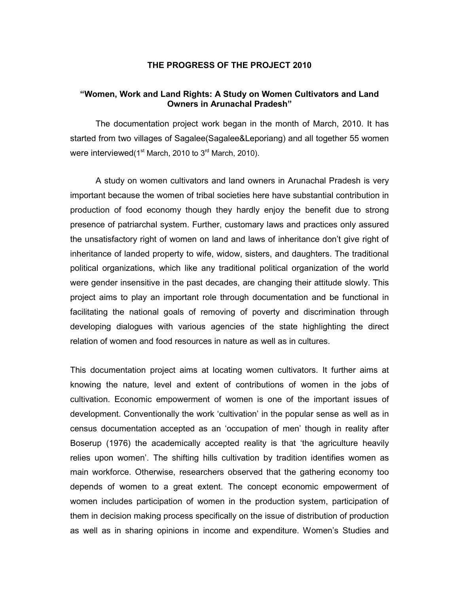#### THE PROGRESS OF THE PROJECT 2010

#### "Women, Work and Land Rights: A Study on Women Cultivators and Land **Owners in Arunachal Pradesh"**

The documentation project work began in the month of March, 2010. It has started from two villages of Sagalee (Sagalee & Leporiang) and all together 55 women were interviewed (1<sup>st</sup> March, 2010 to 3<sup>rd</sup> March, 2010).

A study on women cultivators and land owners in Arunachal Pradesh is very important because the women of tribal societies here have substantial contribution in production of food economy though they hardly enjoy the benefit due to strong presence of patriarchal system. Further, customary laws and practices only assured the unsatisfactory right of women on land and laws of inheritance don't give right of inheritance of landed property to wife, widow, sisters, and daughters. The traditional political organizations, which like any traditional political organization of the world were gender insensitive in the past decades, are changing their attitude slowly. This project aims to play an important role through documentation and be functional in facilitating the national goals of removing of poverty and discrimination through developing dialogues with various agencies of the state highlighting the direct relation of women and food resources in nature as well as in cultures.

This documentation project aims at locating women cultivators. It further aims at knowing the nature, level and extent of contributions of women in the jobs of cultivation. Economic empowerment of women is one of the important issues of development. Conventionally the work 'cultivation' in the popular sense as well as in census documentation accepted as an 'occupation of men' though in reality after Boserup (1976) the academically accepted reality is that 'the agriculture heavily relies upon women'. The shifting hills cultivation by tradition identifies women as main workforce. Otherwise, researchers observed that the gathering economy too depends of women to a great extent. The concept economic empowerment of women includes participation of women in the production system, participation of them in decision making process specifically on the issue of distribution of production as well as in sharing opinions in income and expenditure. Women's Studies and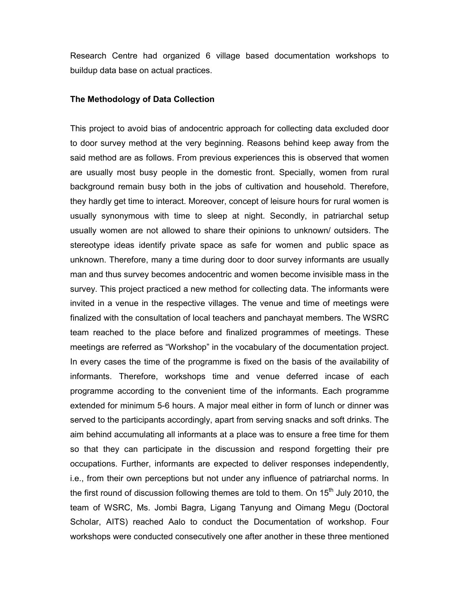Research Centre had organized 6 village based documentation workshops to buildup data base on actual practices.

#### The Methodology of Data Collection

This project to avoid bias of andocentric approach for collecting data excluded door to door survey method at the very beginning. Reasons behind keep away from the said method are as follows. From previous experiences this is observed that women are usually most busy people in the domestic front. Specially, women from rural background remain busy both in the jobs of cultivation and household. Therefore, they hardly get time to interact. Moreover, concept of leisure hours for rural women is usually synonymous with time to sleep at night. Secondly, in patriarchal setup usually women are not allowed to share their opinions to unknown/ outsiders. The stereotype ideas identify private space as safe for women and public space as unknown. Therefore, many a time during door to door survey informants are usually man and thus survey becomes andocentric and women become invisible mass in the survey. This project practiced a new method for collecting data. The informants were invited in a venue in the respective villages. The venue and time of meetings were finalized with the consultation of local teachers and panchayat members. The WSRC team reached to the place before and finalized programmes of meetings. These meetings are referred as "Workshop" in the vocabulary of the documentation project. In every cases the time of the programme is fixed on the basis of the availability of informants. Therefore, workshops time and venue deferred incase of each programme according to the convenient time of the informants. Each programme extended for minimum 5-6 hours. A major meal either in form of lunch or dinner was served to the participants accordingly, apart from serving snacks and soft drinks. The aim behind accumulating all informants at a place was to ensure a free time for them so that they can participate in the discussion and respond forgetting their pre occupations. Further, informants are expected to deliver responses independently, i.e., from their own perceptions but not under any influence of patriarchal norms. In the first round of discussion following themes are told to them. On 15<sup>th</sup> July 2010, the team of WSRC, Ms. Jombi Bagra, Ligang Tanyung and Oimang Megu (Doctoral Scholar, AITS) reached Aalo to conduct the Documentation of workshop. Four workshops were conducted consecutively one after another in these three mentioned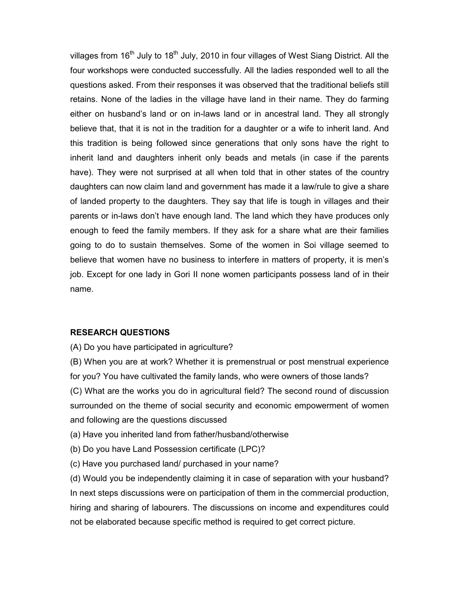villages from 16<sup>th</sup> July to 18<sup>th</sup> July, 2010 in four villages of West Siang District. All the four workshops were conducted successfully. All the ladies responded well to all the questions asked. From their responses it was observed that the traditional beliefs still retains. None of the ladies in the village have land in their name. They do farming either on husband's land or on in-laws land or in ancestral land. They all strongly believe that, that it is not in the tradition for a daughter or a wife to inherit land. And this tradition is being followed since generations that only sons have the right to inherit land and daughters inherit only beads and metals (in case if the parents have). They were not surprised at all when told that in other states of the country daughters can now claim land and government has made it a law/rule to give a share of landed property to the daughters. They say that life is tough in villages and their parents or in-laws don't have enough land. The land which they have produces only enough to feed the family members. If they ask for a share what are their families going to do to sustain themselves. Some of the women in Soi village seemed to believe that women have no business to interfere in matters of property, it is men's job. Except for one lady in Gori II none women participants possess land of in their name.

# **RESEARCH QUESTIONS**

(A) Do you have participated in agriculture?

(B) When you are at work? Whether it is premenstrual or post menstrual experience for you? You have cultivated the family lands, who were owners of those lands? (C) What are the works you do in agricultural field? The second round of discussion surrounded on the theme of social security and economic empowerment of women

and following are the questions discussed

(a) Have you inherited land from father/husband/otherwise

- (b) Do you have Land Possession certificate (LPC)?
- (c) Have you purchased land/ purchased in your name?

(d) Would you be independently claiming it in case of separation with your husband? In next steps discussions were on participation of them in the commercial production, hiring and sharing of labourers. The discussions on income and expenditures could not be elaborated because specific method is required to get correct picture.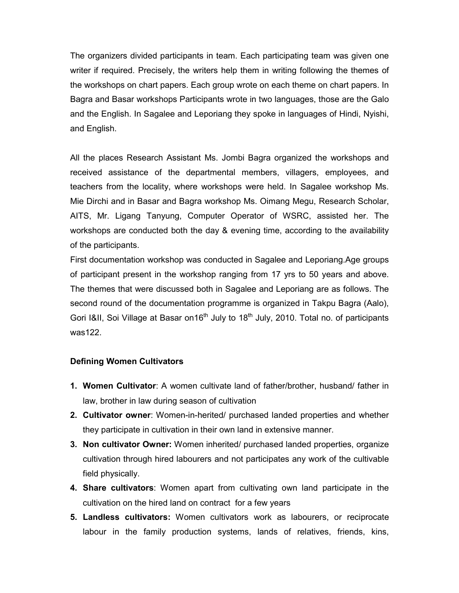The organizers divided participants in team. Each participating team was given one writer if required. Precisely, the writers help them in writing following the themes of the workshops on chart papers. Each group wrote on each theme on chart papers. In Bagra and Basar workshops Participants wrote in two languages, those are the Galo and the English. In Sagalee and Leporiang they spoke in languages of Hindi, Nyishi, and English.

All the places Research Assistant Ms. Jombi Bagra organized the workshops and received assistance of the departmental members, villagers, employees, and teachers from the locality, where workshops were held. In Sagalee workshop Ms. Mie Dirchi and in Basar and Bagra workshop Ms. Oimang Megu, Research Scholar, AITS, Mr. Ligang Tanyung, Computer Operator of WSRC, assisted her. The workshops are conducted both the day & evening time, according to the availability of the participants.

First documentation workshop was conducted in Sagalee and Leporiang. Age groups of participant present in the workshop ranging from 17 yrs to 50 years and above. The themes that were discussed both in Sagalee and Leporiang are as follows. The second round of the documentation programme is organized in Takpu Bagra (Aalo), Gori I&II, Soi Village at Basar on 16<sup>th</sup> July to 18<sup>th</sup> July, 2010. Total no. of participants  $was122$ 

# **Defining Women Cultivators**

- 1. Women Cultivator: A women cultivate land of father/brother, husband/ father in law, brother in law during season of cultivation
- 2. Cultivator owner: Women-in-herited/ purchased landed properties and whether they participate in cultivation in their own land in extensive manner.
- 3. Non cultivator Owner: Women inherited/ purchased landed properties, organize cultivation through hired labourers and not participates any work of the cultivable field physically.
- 4. Share cultivators: Women apart from cultivating own land participate in the cultivation on the hired land on contract for a few years
- 5. Landless cultivators: Women cultivators work as labourers, or reciprocate labour in the family production systems, lands of relatives, friends, kins,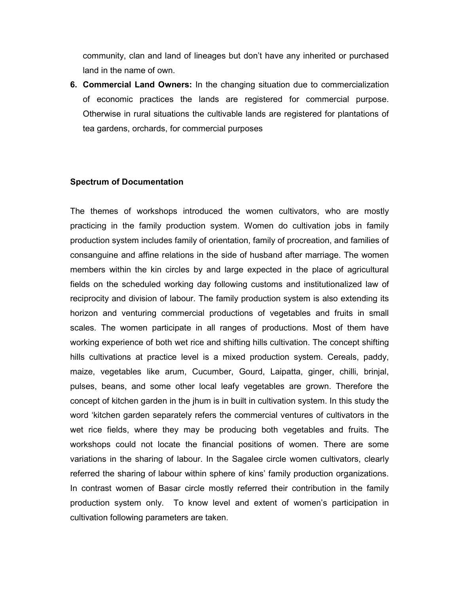community, clan and land of lineages but don't have any inherited or purchased land in the name of own.

6. Commercial Land Owners: In the changing situation due to commercialization of economic practices the lands are registered for commercial purpose. Otherwise in rural situations the cultivable lands are registered for plantations of tea gardens, orchards, for commercial purposes

### **Spectrum of Documentation**

The themes of workshops introduced the women cultivators, who are mostly practicing in the family production system. Women do cultivation jobs in family production system includes family of orientation, family of procreation, and families of consanguine and affine relations in the side of husband after marriage. The women members within the kin circles by and large expected in the place of agricultural fields on the scheduled working day following customs and institutionalized law of reciprocity and division of labour. The family production system is also extending its horizon and venturing commercial productions of vegetables and fruits in small scales. The women participate in all ranges of productions. Most of them have working experience of both wet rice and shifting hills cultivation. The concept shifting hills cultivations at practice level is a mixed production system. Cereals, paddy, maize, vegetables like arum, Cucumber, Gourd, Laipatta, ginger, chilli, brinjal, pulses, beans, and some other local leafy vegetables are grown. Therefore the concept of kitchen garden in the jhum is in built in cultivation system. In this study the word 'kitchen garden separately refers the commercial ventures of cultivators in the wet rice fields, where they may be producing both vegetables and fruits. The workshops could not locate the financial positions of women. There are some variations in the sharing of labour. In the Sagalee circle women cultivators, clearly referred the sharing of labour within sphere of kins' family production organizations. In contrast women of Basar circle mostly referred their contribution in the family production system only. To know level and extent of women's participation in cultivation following parameters are taken.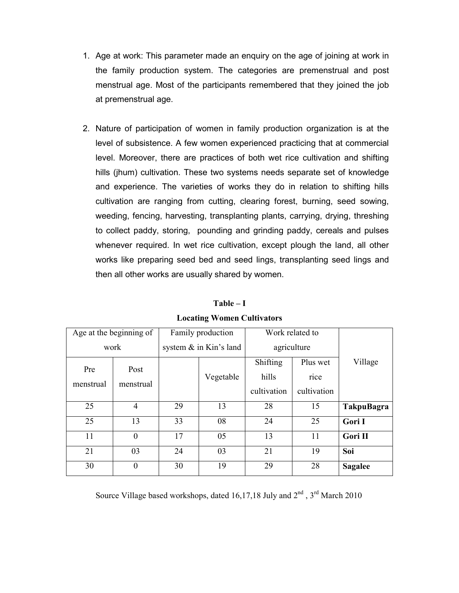- 1. Age at work: This parameter made an enguiry on the age of joining at work in the family production system. The categories are premenstrual and post menstrual age. Most of the participants remembered that they joined the job at premenstrual age.
- 2. Nature of participation of women in family production organization is at the level of subsistence. A few women experienced practicing that at commercial level. Moreover, there are practices of both wet rice cultivation and shifting hills (jhum) cultivation. These two systems needs separate set of knowledge and experience. The varieties of works they do in relation to shifting hills cultivation are ranging from cutting, clearing forest, burning, seed sowing, weeding, fencing, harvesting, transplanting plants, carrying, drying, threshing to collect paddy, storing, pounding and grinding paddy, cereals and pulses whenever required. In wet rice cultivation, except plough the land, all other works like preparing seed bed and seed lings, transplanting seed lings and then all other works are usually shared by women.

|                  | Age at the beginning of | Family production |                           | Work related to |             |                   |
|------------------|-------------------------|-------------------|---------------------------|-----------------|-------------|-------------------|
|                  | work                    |                   | system $\&$ in Kin's land |                 | agriculture |                   |
| Pre<br>menstrual | Post                    |                   |                           | Shifting        | Plus wet    | Village           |
|                  | menstrual               |                   | Vegetable                 | hills           | rice        |                   |
|                  |                         |                   |                           | cultivation     | cultivation |                   |
| 25               | $\overline{4}$          | 29                | 13                        | 28              | 15          | <b>TakpuBagra</b> |
| 25               | 13                      | 33                | 08                        | 24              | 25          | Gori I            |
| 11               | $\overline{0}$          | 17                | 05                        | 13              | 11          | Gori II           |
| 21               | 03                      | 24                | 03                        | 21              | 19          | Soi               |
| 30               | $\theta$                | 30                | 19                        | 29              | 28          | <b>Sagalee</b>    |

 $Table - I$ **Locating Women Cultivators** 

Source Village based workshops, dated 16,17,18 July and 2<sup>nd</sup>, 3<sup>rd</sup> March 2010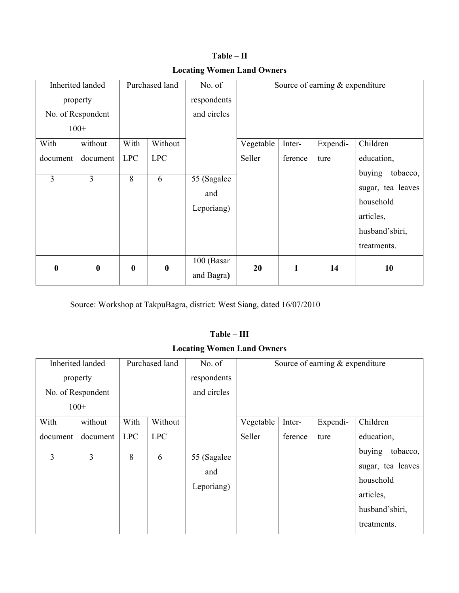|                | Inherited landed              |                  | Purchased land | No. of                           |           |         | Source of earning & expenditure |                                                                                                    |
|----------------|-------------------------------|------------------|----------------|----------------------------------|-----------|---------|---------------------------------|----------------------------------------------------------------------------------------------------|
|                | property<br>No. of Respondent |                  |                | respondents<br>and circles       |           |         |                                 |                                                                                                    |
| $100+$         |                               |                  |                |                                  |           |         |                                 |                                                                                                    |
| With           | without                       | With             | Without        |                                  | Vegetable | Inter-  | Expendi-                        | Children                                                                                           |
| document       | document                      | <b>LPC</b>       | <b>LPC</b>     |                                  | Seller    | ference | ture                            | education,                                                                                         |
| $\overline{3}$ | 3                             | 8                | 6              | 55 (Sagalee<br>and<br>Leporiang) |           |         |                                 | buying<br>tobacco,<br>sugar, tea leaves<br>household<br>articles,<br>husband'sbiri,<br>treatments. |
| $\bf{0}$       | $\boldsymbol{0}$              | $\boldsymbol{0}$ | $\bf{0}$       | 100 (Basar<br>and Bagra)         | 20        | 1       | 14                              | 10                                                                                                 |

 $Table - II$ **Locating Women Land Owners** 

Source: Workshop at TakpuBagra, district: West Siang, dated 16/07/2010

# **aT ble – II I**

# **Locating Women Land Owners**

|          | Inherited landed  |            | Purchased land | No. of                            |           |         | Source of earning & expenditure |                                                                                                    |
|----------|-------------------|------------|----------------|-----------------------------------|-----------|---------|---------------------------------|----------------------------------------------------------------------------------------------------|
|          | property          |            |                | respondents                       |           |         |                                 |                                                                                                    |
|          | No. of Respondent |            |                | and circles                       |           |         |                                 |                                                                                                    |
|          | $100+$            |            |                |                                   |           |         |                                 |                                                                                                    |
| With     | without           | With       | Without        |                                   | Vegetable | Inter-  | Expendi-                        | Children                                                                                           |
| document | document          | <b>LPC</b> | <b>LPC</b>     |                                   | Seller    | ference | ture                            | education,                                                                                         |
| 3        | 3                 | 8          | 6              | 55 (Sagalee)<br>and<br>Leporiang) |           |         |                                 | tobacco,<br>buying<br>sugar, tea leaves<br>household<br>articles,<br>husband'sbiri,<br>treatments. |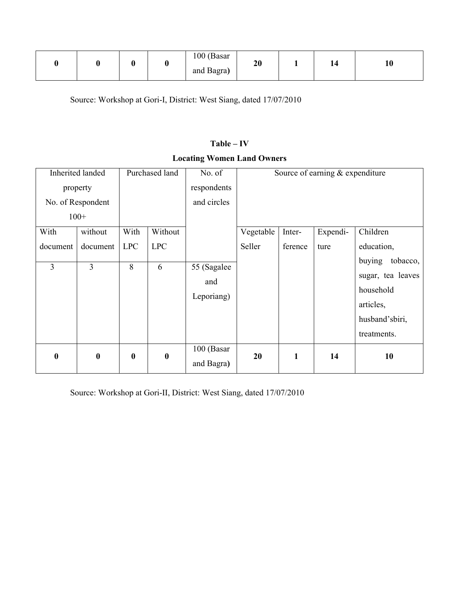|  |  |  |  | 100 (Basar<br>and Bagra) | 20 |  | 14 | 1V |
|--|--|--|--|--------------------------|----|--|----|----|
|--|--|--|--|--------------------------|----|--|----|----|

Source: Workshop at Gori-I, District: West Siang, dated 17/07/2010

# $Table - IV$

# **Locating Women Land Owners**

|          | <b>Inherited landed</b> |            | Purchased land | No. of                           |           |         | Source of earning & expenditure |                                                                                                    |
|----------|-------------------------|------------|----------------|----------------------------------|-----------|---------|---------------------------------|----------------------------------------------------------------------------------------------------|
|          | property                |            |                | respondents                      |           |         |                                 |                                                                                                    |
|          | No. of Respondent       |            |                | and circles                      |           |         |                                 |                                                                                                    |
| $100+$   |                         |            |                |                                  |           |         |                                 |                                                                                                    |
| With     | without                 | With       | Without        |                                  | Vegetable | Inter-  | Expendi-                        | Children                                                                                           |
| document | document                | <b>LPC</b> | <b>LPC</b>     |                                  | Seller    | ference | ture                            | education,                                                                                         |
| 3        | 3                       | 8          | 6              | 55 (Sagalee<br>and<br>Leporiang) |           |         |                                 | buying<br>tobacco,<br>sugar, tea leaves<br>household<br>articles,<br>husband'sbiri,<br>treatments. |
| 0        | $\boldsymbol{0}$        | $\bf{0}$   | $\bf{0}$       | 100 (Basar<br>and Bagra)         | 20        | 1       | 14                              | 10                                                                                                 |

Source: Workshop at Gori-II, District: West Siang, dated 17/07/2010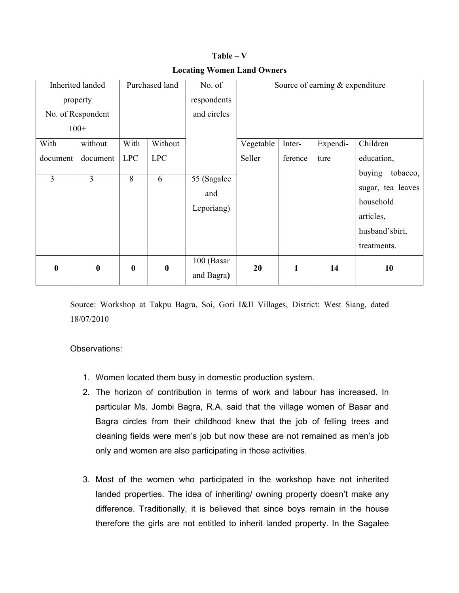|                  | Inherited landed                        |                  | Purchased land | No. of                           |           |         | Source of earning $&$ expenditure |                                                                                                    |
|------------------|-----------------------------------------|------------------|----------------|----------------------------------|-----------|---------|-----------------------------------|----------------------------------------------------------------------------------------------------|
|                  | property<br>No. of Respondent<br>$100+$ |                  |                | respondents<br>and circles       |           |         |                                   |                                                                                                    |
| With             | without                                 | With             | Without        |                                  | Vegetable | Inter-  | Expendi-                          | Children                                                                                           |
| document         | document                                | <b>LPC</b>       | <b>LPC</b>     |                                  | Seller    | ference | ture                              | education,                                                                                         |
| 3                | 3                                       | 8                | 6              | 55 (Sagalee<br>and<br>Leporiang) |           |         |                                   | buying<br>tobacco,<br>sugar, tea leaves<br>household<br>articles,<br>husband'sbiri,<br>treatments. |
| $\boldsymbol{0}$ | $\boldsymbol{0}$                        | $\boldsymbol{0}$ | $\bf{0}$       | 100 (Basar<br>and Bagra)         | 20        | 1       | 14                                | 10                                                                                                 |

 $Table - V$ **Locating Women Land Owners** 

Source: Workshop at Takpu Bagra, Soi, Gori I&II Villages, District: West Siang, dated 18/07/2010

Observations:

- 1. Women located them busy in domestic production system.
- 2. The horizon of contribution in terms of work and labour has increased. In particular Ms. Jombi Bagra, R.A. said that the village women of Basar and Bagra circles from their childhood knew that the job of felling trees and cleaning fields were men's job but now these are not remained as men's job only and women are also participating in those activities.
- 3. Most of the women who participated in the workshop have not inherited landed properties. The idea of inheriting/ owning property doesn't make any difference. Traditionally, it is believed that since boys remain in the house therefore the girls are not entitled to inherit landed property. In the Sagalee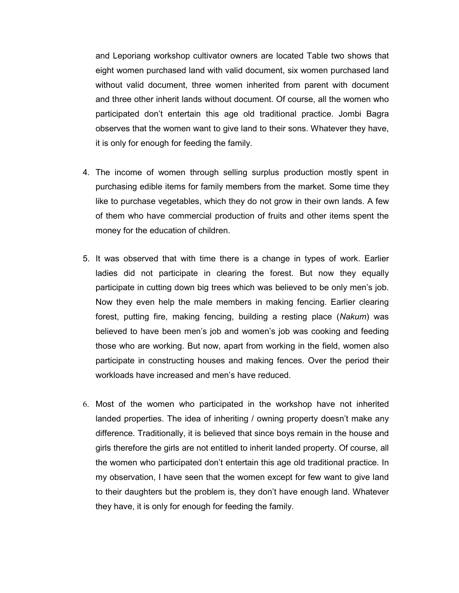and Leporiang workshop cultivator owners are located Table two shows that eight women purchased land with valid document, six women purchased land without valid document, three women inherited from parent with document and three other inherit lands without document. Of course, all the women who participated don't entertain this age old traditional practice. Jombi Bagra observes that the women want to give land to their sons. Whatever they have, it is only for enough for feeding the family.

- 4. The income of women through selling surplus production mostly spent in purchasing edible items for family members from the market. Some time they like to purchase vegetables, which they do not grow in their own lands. A few of them who have commercial production of fruits and other items spent the money for the education of children.
- 5. It was observed that with time there is a change in types of work. Earlier ladies did not participate in clearing the forest. But now they equally participate in cutting down big trees which was believed to be only men's job. Now they even help the male members in making fencing. Earlier clearing forest, putting fire, making fencing, building a resting place (Nakum) was believed to have been men's job and women's job was cooking and feeding those who are working. But now, apart from working in the field, women also participate in constructing houses and making fences. Over the period their workloads have increased and men's have reduced.
- 6. Most of the women who participated in the workshop have not inherited landed properties. The idea of inheriting / owning property doesn't make any difference. Traditionally, it is believed that since boys remain in the house and girls therefore the girls are not entitled to inherit landed property. Of course, all the women who participated don't entertain this age old traditional practice. In my observation, I have seen that the women except for few want to give land to their daughters but the problem is, they don't have enough land. Whatever they have, it is only for enough for feeding the family.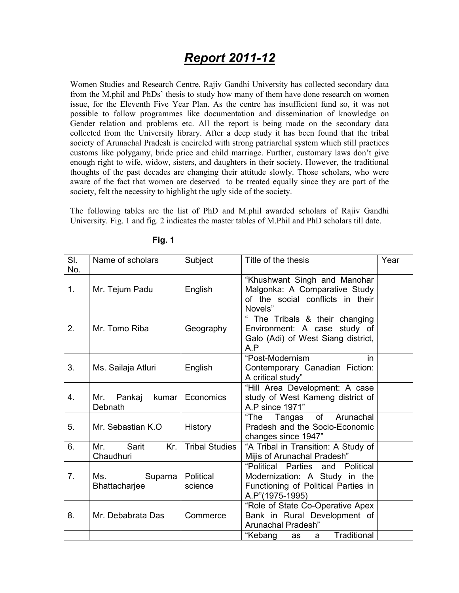# **Report 2011-12**

Women Studies and Research Centre, Rajiv Gandhi University has collected secondary data from the M.phil and PhDs' thesis to study how many of them have done research on women issue, for the Eleventh Five Year Plan. As the centre has insufficient fund so, it was not possible to follow programmes like documentation and dissemination of knowledge on Gender relation and problems etc. All the report is being made on the secondary data collected from the University library. After a deep study it has been found that the tribal society of Arunachal Pradesh is encircled with strong patriarchal system which still practices customs like polygamy, bride price and child marriage. Further, customary laws don't give enough right to wife, widow, sisters, and daughters in their society. However, the traditional thoughts of the past decades are changing their attitude slowly. Those scholars, who were aware of the fact that women are deserved to be treated equally since they are part of the society, felt the necessity to highlight the ugly side of the society.

The following tables are the list of PhD and M.phil awarded scholars of Raijy Gandhi University. Fig. 1 and fig. 2 indicates the master tables of M. Phil and PhD scholars till date.

| SI.            | Name of scholars                  | Subject               | Title of the thesis                                           | Year |
|----------------|-----------------------------------|-----------------------|---------------------------------------------------------------|------|
| No.            |                                   |                       |                                                               |      |
| 1 <sub>1</sub> |                                   |                       | "Khushwant Singh and Manohar<br>Malgonka: A Comparative Study |      |
|                | Mr. Tejum Padu                    | English               | of the social conflicts in their                              |      |
|                |                                   |                       | Novels"                                                       |      |
|                |                                   |                       | " The Tribals & their changing                                |      |
| 2.             | Mr. Tomo Riba                     | Geography             | Environment: A case study of                                  |      |
|                |                                   |                       | Galo (Adi) of West Siang district,                            |      |
|                |                                   |                       | A.P                                                           |      |
|                |                                   |                       | "Post-Modernism<br>in                                         |      |
| 3.             | Ms. Sailaja Atluri                | English               | Contemporary Canadian Fiction:                                |      |
|                |                                   |                       | A critical study"                                             |      |
|                |                                   |                       | "Hill Area Development: A case                                |      |
| 4.             | Pankaj<br>kumar<br>Mr.<br>Debnath | Economics             | study of West Kameng district of<br>A.P since 1971"           |      |
|                |                                   |                       | "The<br>Tangas of Arunachal                                   |      |
| 5.             | Mr. Sebastian K.O.                | <b>History</b>        | Pradesh and the Socio-Economic                                |      |
|                |                                   |                       | changes since 1947"                                           |      |
| 6.             | Sarit<br>Mr.<br>Kr.               | <b>Tribal Studies</b> | "A Tribal in Transition: A Study of                           |      |
|                | Chaudhuri                         |                       | Mijis of Arunachal Pradesh"                                   |      |
|                |                                   |                       | "Political Parties<br>and Political                           |      |
| 7 <sub>1</sub> | Ms.<br>Suparna                    | Political             | Modernization: A Study in the                                 |      |
|                | Bhattacharjee                     | science               | Functioning of Political Parties in                           |      |
|                |                                   |                       | A.P"(1975-1995)                                               |      |
|                |                                   |                       | "Role of State Co-Operative Apex                              |      |
| 8.             | Mr. Debabrata Das                 | Commerce              | Bank in Rural Development of                                  |      |
|                |                                   |                       | Arunachal Pradesh"                                            |      |
|                |                                   |                       | Traditional<br>"Kebang<br>as<br>a                             |      |

**Fig. 1**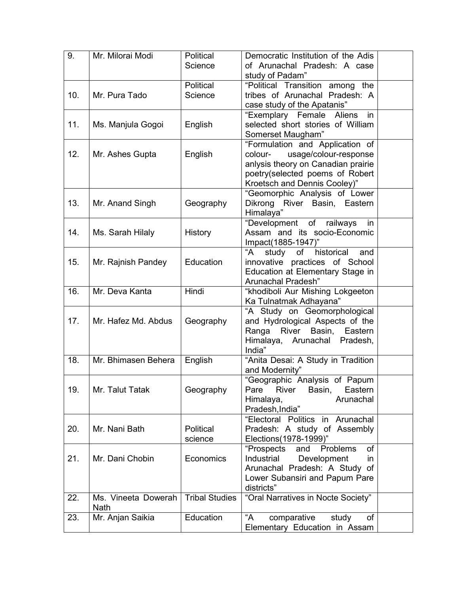| 9.  | Mr. Milorai Modi                   | Political<br>Science  | Democratic Institution of the Adis<br>of Arunachal Pradesh: A case                                                                                                           |  |
|-----|------------------------------------|-----------------------|------------------------------------------------------------------------------------------------------------------------------------------------------------------------------|--|
|     |                                    |                       | study of Padam"                                                                                                                                                              |  |
| 10. | Mr. Pura Tado                      | Political<br>Science  | "Political Transition among the<br>tribes of Arunachal Pradesh: A<br>case study of the Apatanis"                                                                             |  |
| 11. | Ms. Manjula Gogoi                  | English               | "Exemplary Female Aliens<br>in<br>selected short stories of William<br>Somerset Maugham"                                                                                     |  |
| 12. | Mr. Ashes Gupta                    | English               | "Formulation and Application of<br>usage/colour-response<br>colour-<br>anlysis theory on Canadian prairie<br>poetry(selected poems of Robert<br>Kroetsch and Dennis Cooley)" |  |
| 13. | Mr. Anand Singh                    | Geography             | "Geomorphic Analysis of Lower<br>Dikrong River Basin, Eastern<br>Himalaya"                                                                                                   |  |
| 14. | Ms. Sarah Hilaly                   | <b>History</b>        | "Development of railways<br>in<br>Assam and its socio-Economic<br>Impact(1885-1947)"                                                                                         |  |
| 15. | Mr. Rajnish Pandey                 | Education             | of historical<br>study<br>"A<br>and<br>innovative practices of School<br>Education at Elementary Stage in<br>Arunachal Pradesh"                                              |  |
| 16. | Mr. Deva Kanta                     | Hindi                 | "khodiboli Aur Mishing Lokgeeton<br>Ka Tulnatmak Adhayana"                                                                                                                   |  |
| 17. | Mr. Hafez Md. Abdus                | Geography             | "A Study on Geomorphological<br>and Hydrological Aspects of the<br>Ranga River Basin,<br>Eastern<br>Himalaya, Arunachal Pradesh,<br>India"                                   |  |
| 18. | Mr. Bhimasen Behera                | English               | "Anita Desai: A Study in Tradition<br>and Modernity"                                                                                                                         |  |
| 19. | Mr. Talut Tatak                    | Geography             | "Geographic Analysis of Papum<br><b>River</b><br>Basin,<br>Eastern<br>Pare<br>Arunachal<br>Himalaya,<br>Pradesh, India"                                                      |  |
| 20. | Mr. Nani Bath                      | Political<br>science  | "Electoral Politics in Arunachal<br>Pradesh: A study of Assembly<br>Elections(1978-1999)"                                                                                    |  |
| 21. | Mr. Dani Chobin                    | Economics             | "Prospects<br>of<br>Problems<br>and<br>Industrial<br>Development<br>in<br>Arunachal Pradesh: A Study of<br>Lower Subansiri and Papum Pare<br>districts"                      |  |
| 22. | Ms. Vineeta Dowerah<br><b>Nath</b> | <b>Tribal Studies</b> | "Oral Narratives in Nocte Society"                                                                                                                                           |  |
| 23. | Mr. Anjan Saikia                   | Education             | $A^"$<br>comparative<br>study<br>of<br>Elementary Education in Assam                                                                                                         |  |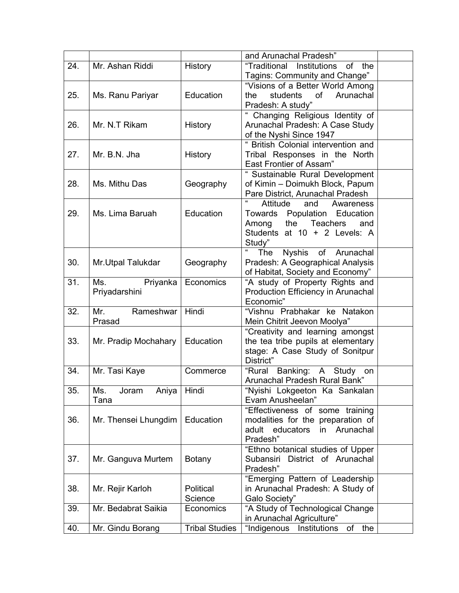|     |                       |                       | and Arunachal Pradesh"                               |  |
|-----|-----------------------|-----------------------|------------------------------------------------------|--|
| 24. | Mr. Ashan Riddi       | History               | "Traditional<br>Institutions<br>of<br>the            |  |
|     |                       |                       | Tagins: Community and Change"                        |  |
|     |                       |                       | "Visions of a Better World Among                     |  |
| 25. | Ms. Ranu Pariyar      | Education             | students<br>of<br>Arunachal<br>the                   |  |
|     |                       |                       | Pradesh: A study"                                    |  |
|     |                       |                       | Changing Religious Identity of                       |  |
| 26. | Mr. N.T Rikam         | History               | Arunachal Pradesh: A Case Study                      |  |
|     |                       |                       | of the Nyshi Since 1947                              |  |
|     |                       |                       | " British Colonial intervention and                  |  |
| 27. | Mr. B.N. Jha          | History               | Tribal Responses in the North                        |  |
|     |                       |                       | East Frontier of Assam"                              |  |
|     |                       |                       | " Sustainable Rural Development                      |  |
| 28. | Ms. Mithu Das         | Geography             | of Kimin - Doimukh Block, Papum                      |  |
|     |                       |                       | Pare District, Arunachal Pradesh                     |  |
|     |                       |                       | $\pmb{\mathfrak{c}}$<br>Attitude<br>and<br>Awareness |  |
| 29. | Ms. Lima Baruah       | Education             | Population<br>Towards<br>Education                   |  |
|     |                       |                       | <b>Teachers</b><br>Among<br>the<br>and               |  |
|     |                       |                       | Students at 10 + 2 Levels: A                         |  |
|     |                       |                       | Study"                                               |  |
|     |                       |                       | Nyshis of Arunachal<br>The                           |  |
| 30. | Mr. Utpal Talukdar    | Geography             | Pradesh: A Geographical Analysis                     |  |
|     |                       |                       | of Habitat, Society and Economy"                     |  |
| 31. | Ms.<br>Priyanka       | Economics             | "A study of Property Rights and                      |  |
|     | Priyadarshini         |                       | Production Efficiency in Arunachal                   |  |
|     |                       |                       | Economic"                                            |  |
| 32. | Mr.<br>Rameshwar      | Hindi                 | "Vishnu Prabhakar ke Natakon                         |  |
|     | Prasad                |                       | Mein Chitrit Jeevon Moolya"                          |  |
|     |                       |                       | "Creativity and learning amongst                     |  |
| 33. | Mr. Pradip Mochahary  | Education             | the tea tribe pupils at elementary                   |  |
|     |                       |                       | stage: A Case Study of Sonitpur                      |  |
|     |                       |                       | District"                                            |  |
| 34. | Mr. Tasi Kaye         | Commerce              | Banking:<br>"Rural<br>Study<br>A —<br>on             |  |
|     |                       |                       | Arunachal Pradesh Rural Bank"                        |  |
| 35. | Ms.<br>Joram<br>Aniya | Hindi                 | "Nyishi Lokgeeton Ka Sankalan                        |  |
|     | Tana                  |                       | Evam Anusheelan"                                     |  |
|     |                       |                       | "Effectiveness of some training                      |  |
| 36. | Mr. Thensei Lhungdim  | Education             | modalities for the preparation of                    |  |
|     |                       |                       | adult<br>educators<br>in<br>Arunachal                |  |
|     |                       |                       | Pradesh"                                             |  |
|     |                       |                       | "Ethno botanical studies of Upper                    |  |
| 37. | Mr. Ganguva Murtem    | <b>Botany</b>         | Subansiri District of Arunachal                      |  |
|     |                       |                       | Pradesh"                                             |  |
|     |                       |                       | "Emerging Pattern of Leadership                      |  |
| 38. | Mr. Rejir Karloh      | Political             | in Arunachal Pradesh: A Study of                     |  |
|     |                       | Science               | Galo Society"                                        |  |
| 39. | Mr. Bedabrat Saikia   | Economics             | "A Study of Technological Change                     |  |
|     |                       |                       | in Arunachal Agriculture"                            |  |
| 40. | Mr. Gindu Borang      | <b>Tribal Studies</b> | "Indigenous<br>Institutions<br>the<br>οf             |  |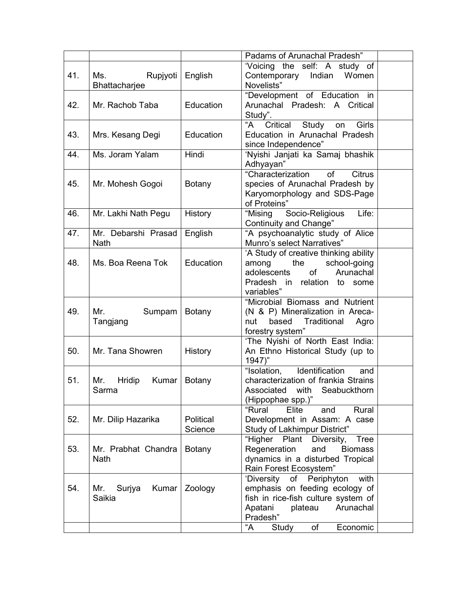|     |                        |                | Padams of Arunachal Pradesh"                               |  |
|-----|------------------------|----------------|------------------------------------------------------------|--|
|     |                        |                | 'Voicing the self: A study of                              |  |
| 41. | Rupjyoti<br>Ms.        | English        | Contemporary Indian Women                                  |  |
|     | Bhattacharjee          |                | Novelists"                                                 |  |
|     |                        |                | "Development of Education in                               |  |
| 42. | Mr. Rachob Taba        | Education      | Arunachal Pradesh: A Critical                              |  |
|     |                        |                | Study".                                                    |  |
|     |                        |                | "A<br>Critical<br>Study<br>Girls<br>on                     |  |
| 43. | Mrs. Kesang Degi       | Education      | Education in Arunachal Pradesh                             |  |
|     |                        |                | since Independence"                                        |  |
| 44. | Ms. Joram Yalam        | Hindi          | 'Nyishi Janjati ka Samaj bhashik                           |  |
|     |                        |                | Adhyayan"                                                  |  |
|     |                        |                | <b>Citrus</b><br>"Characterization<br>of                   |  |
| 45. | Mr. Mohesh Gogoi       | <b>Botany</b>  | species of Arunachal Pradesh by                            |  |
|     |                        |                | Karyomorphology and SDS-Page                               |  |
|     |                        |                | of Proteins"                                               |  |
| 46. | Mr. Lakhi Nath Pegu    | <b>History</b> | Life:<br>"Mising Socio-Religious<br>Continuity and Change" |  |
| 47. | Mr. Debarshi Prasad    | English        | "A psychoanalytic study of Alice                           |  |
|     | <b>Nath</b>            |                | Munro's select Narratives"                                 |  |
|     |                        |                | 'A Study of creative thinking ability                      |  |
| 48. | Ms. Boa Reena Tok      | Education      | among<br>the<br>school-going                               |  |
|     |                        |                | adolescents<br>of<br>Arunachal                             |  |
|     |                        |                | Pradesh in relation to<br>some                             |  |
|     |                        |                | variables"                                                 |  |
|     |                        |                | "Microbial Biomass and Nutrient                            |  |
| 49. | Mr.<br>Sumpam          | <b>Botany</b>  | (N & P) Mineralization in Areca-                           |  |
|     | Tangjang               |                | based<br>Traditional<br>nut<br>Agro                        |  |
|     |                        |                | forestry system"                                           |  |
|     |                        |                | 'The Nyishi of North East India:                           |  |
| 50. | Mr. Tana Showren       | History        | An Ethno Historical Study (up to                           |  |
|     |                        |                | $1947$ "                                                   |  |
|     |                        |                | "Isolation,<br>Identification<br>and                       |  |
| 51. | Kumar<br>Mr.<br>Hridip | <b>Botany</b>  | characterization of frankia Strains                        |  |
|     | Sarma                  |                | Associated with<br>Seabuckthorn                            |  |
|     |                        |                | (Hippophae spp.)"<br>Rural<br>"Rural<br>Elite<br>and       |  |
| 52. | Mr. Dilip Hazarika     | Political      | Development in Assam: A case                               |  |
|     |                        | Science        | Study of Lakhimpur District"                               |  |
|     |                        |                | "Higher<br>Plant<br>Diversity,<br><b>Tree</b>              |  |
| 53. | Mr. Prabhat Chandra    | <b>Botany</b>  | Regeneration<br>and<br><b>Biomass</b>                      |  |
|     | <b>Nath</b>            |                | dynamics in a disturbed Tropical                           |  |
|     |                        |                | Rain Forest Ecosystem"                                     |  |
|     |                        |                | with<br>'Diversity<br>Periphyton<br>of                     |  |
| 54. | Kumar<br>Mr.<br>Surjya | Zoology        | emphasis on feeding ecology of                             |  |
|     | Saikia                 |                | fish in rice-fish culture system of                        |  |
|     |                        |                | Apatani<br>Arunachal<br>plateau                            |  |
|     |                        |                | Pradesh"                                                   |  |
|     |                        |                | "A<br>of<br>Study<br>Economic                              |  |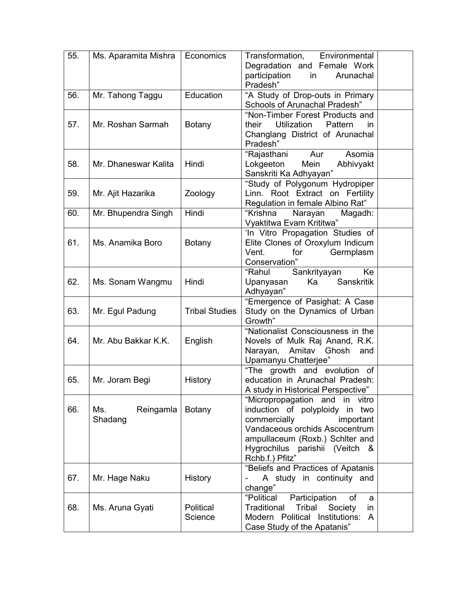| 55. | Ms. Aparamita Mishra        | Economics             | Transformation,<br>Environmental<br>Degradation and Female Work<br>participation<br>in<br>Arunachal<br>Pradesh"                                                                                                               |
|-----|-----------------------------|-----------------------|-------------------------------------------------------------------------------------------------------------------------------------------------------------------------------------------------------------------------------|
| 56. | Mr. Tahong Taggu            | Education             | "A Study of Drop-outs in Primary<br>Schools of Arunachal Pradesh"                                                                                                                                                             |
| 57. | Mr. Roshan Sarmah           | <b>Botany</b>         | "Non-Timber Forest Products and<br>Utilization<br>Pattern<br>their<br>in.<br>Changlang District of Arunachal<br>Pradesh"                                                                                                      |
| 58. | Mr. Dhaneswar Kalita        | Hindi                 | Asomia<br>"Rajasthani<br>Aur<br>Mein<br>Lokgeeton<br>Abhivyakt<br>Sanskriti Ka Adhyayan"                                                                                                                                      |
| 59. | Mr. Ajit Hazarika           | Zoology               | "Study of Polygonum Hydropiper<br>Linn. Root Extract on Fertility<br>Regulation in female Albino Rat"                                                                                                                         |
| 60. | Mr. Bhupendra Singh         | Hindi                 | "Krishna<br>Narayan<br>Magadh:<br>Vyaktitwa Evam Krititwa"                                                                                                                                                                    |
| 61. | Ms. Anamika Boro            | <b>Botany</b>         | 'In Vitro Propagation Studies of<br>Elite Clones of Oroxylum Indicum<br>Vent.<br>for<br>Germplasm<br>Conservation"                                                                                                            |
| 62. | Ms. Sonam Wangmu            | Hindi                 | "Rahul<br>Sankrityayan<br>Ke<br>Ka<br><b>Sanskritik</b><br>Upanyasan<br>Adhyayan"                                                                                                                                             |
| 63. | Mr. Egul Padung             | <b>Tribal Studies</b> | "Emergence of Pasighat: A Case<br>Study on the Dynamics of Urban<br>Growth"                                                                                                                                                   |
| 64. | Mr. Abu Bakkar K.K.         | English               | "Nationalist Consciousness in the<br>Novels of Mulk Raj Anand, R.K.<br>Narayan, Amitav Ghosh<br>and<br>Upamanyu Chatterjee"                                                                                                   |
| 65. | Mr. Joram Begi              | History               | "The growth and evolution of<br>education in Arunachal Pradesh:<br>A study in Historical Perspective"                                                                                                                         |
| 66. | Ms.<br>Reingamla<br>Shadang | <b>Botany</b>         | "Micropropagation and<br>vitro<br>in<br>induction of polyploidy in two<br>commercially<br>important<br>Vandaceous orchids Ascocentrum<br>ampullaceum (Roxb.) Schlter and<br>Hygrochilus parishii (Veitch &<br>Rchb.f.) Pfitz" |
| 67. | Mr. Hage Naku               | History               | "Beliefs and Practices of Apatanis<br>A study in continuity and<br>change"                                                                                                                                                    |
| 68. | Ms. Aruna Gyati             | Political<br>Science  | "Political<br>Participation<br>of<br>a<br><b>Traditional</b><br>Tribal<br>Society<br>in<br>Modern Political Institutions:<br>A<br>Case Study of the Apatanis"                                                                 |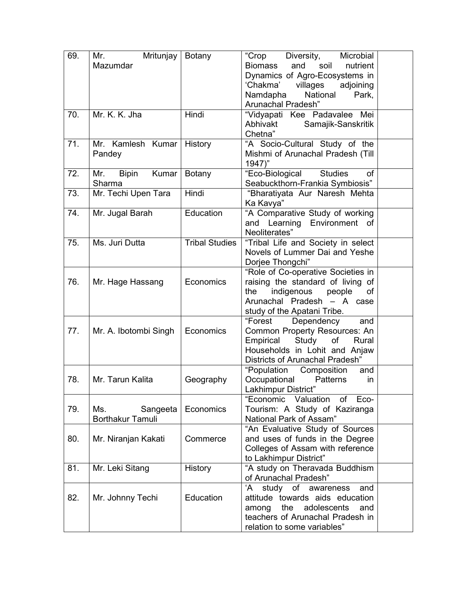| 69. | Mr.<br>Mritunjay<br>Mazumdar           | <b>Botany</b>         | "Crop<br>Diversity,<br>Microbial<br><b>Biomass</b><br>and<br>soil<br>nutrient<br>Dynamics of Agro-Ecosystems in<br>'Chakma'<br>villages<br>adjoining<br>National<br>Namdapha<br>Park,<br>Arunachal Pradesh" |  |
|-----|----------------------------------------|-----------------------|-------------------------------------------------------------------------------------------------------------------------------------------------------------------------------------------------------------|--|
| 70. | Mr. K. K. Jha                          | Hindi                 | "Vidyapati Kee Padavalee Mei<br>Abhivakt<br>Samajik-Sanskritik<br>Chetna"                                                                                                                                   |  |
| 71. | Mr. Kamlesh Kumar<br>Pandey            | History               | "A Socio-Cultural Study of the<br>Mishmi of Arunachal Pradesh (Till<br>1947)"                                                                                                                               |  |
| 72. | Kumar<br><b>Bipin</b><br>Mr.<br>Sharma | <b>Botany</b>         | "Eco-Biological<br><b>Studies</b><br>0f<br>Seabuckthorn-Frankia Symbiosis"                                                                                                                                  |  |
| 73. | Mr. Techi Upen Tara                    | Hindi                 | "Bharatiyata Aur Naresh Mehta<br>Ka Kavya"                                                                                                                                                                  |  |
| 74. | Mr. Jugal Barah                        | Education             | "A Comparative Study of working<br>and Learning Environment of<br>Neoliterates"                                                                                                                             |  |
| 75. | Ms. Juri Dutta                         | <b>Tribal Studies</b> | "Tribal Life and Society in select<br>Novels of Lummer Dai and Yeshe<br>Dorjee Thongchi"                                                                                                                    |  |
| 76. | Mr. Hage Hassang                       | Economics             | "Role of Co-operative Societies in<br>raising the standard of living of<br>indigenous<br>people<br>the<br>οf<br>Arunachal Pradesh - A case<br>study of the Apatani Tribe.                                   |  |
| 77. | Mr. A. Ibotombi Singh                  | Economics             | "Forest<br>Dependency<br>and<br>Common Property Resources: An<br>Study of<br>Empirical<br>Rural<br>Households in Lohit and Anjaw<br>Districts of Arunachal Pradesh"                                         |  |
| 78. | Mr. Tarun Kalita                       | Geography             | "Population<br>Composition<br>and<br>Occupational<br>Patterns<br>in<br>Lakhimpur District"                                                                                                                  |  |
| 79. | Ms.<br>Sangeeta<br>Borthakur Tamuli    | Economics             | "Economic Valuation<br>of Eco-<br>Tourism: A Study of Kaziranga<br>National Park of Assam"                                                                                                                  |  |
| 80. | Mr. Niranjan Kakati                    | Commerce              | "An Evaluative Study of Sources<br>and uses of funds in the Degree<br>Colleges of Assam with reference<br>to Lakhimpur District"                                                                            |  |
| 81. | Mr. Leki Sitang                        | <b>History</b>        | "A study on Theravada Buddhism<br>of Arunachal Pradesh"                                                                                                                                                     |  |
| 82. | Mr. Johnny Techi                       | Education             | study of awareness<br>and<br>'A<br>attitude towards aids education<br>the<br>adolescents<br>and<br>among<br>teachers of Arunachal Pradesh in<br>relation to some variables"                                 |  |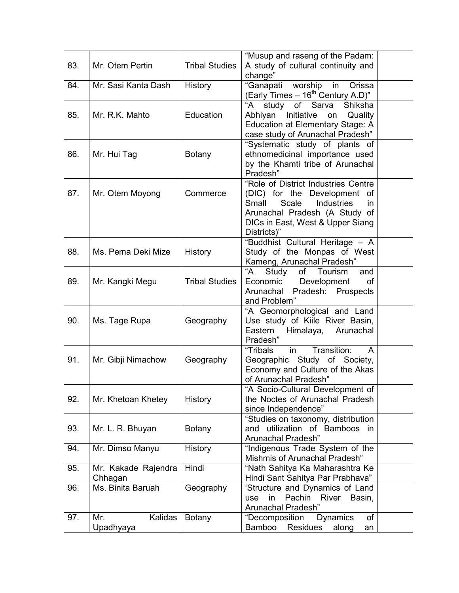| 83. | Mr. Otem Pertin                | <b>Tribal Studies</b> | "Musup and raseng of the Padam:<br>A study of cultural continuity and<br>change"                                                                                                              |  |
|-----|--------------------------------|-----------------------|-----------------------------------------------------------------------------------------------------------------------------------------------------------------------------------------------|--|
| 84. | Mr. Sasi Kanta Dash            | <b>History</b>        | worship in<br>"Ganapati<br>Orissa<br>(Early Times $-16^{th}$ Century A.D)"                                                                                                                    |  |
| 85. | Mr. R.K. Mahto                 | Education             | "A<br>Sarva<br>Shiksha<br>study<br>of<br>Abhiyan Initiative<br>Quality<br>on<br>Education at Elementary Stage: A<br>case study of Arunachal Pradesh"                                          |  |
| 86. | Mr. Hui Tag                    | <b>Botany</b>         | "Systematic study of plants of<br>ethnomedicinal importance used<br>by the Khamti tribe of Arunachal<br>Pradesh"                                                                              |  |
| 87. | Mr. Otem Moyong                | Commerce              | "Role of District Industries Centre<br>(DIC) for the Development of<br>Scale<br>Small<br>Industries<br>in<br>Arunachal Pradesh (A Study of<br>DICs in East, West & Upper Siang<br>Districts)" |  |
| 88. | Ms. Pema Deki Mize             | History               | "Buddhist Cultural Heritage - A<br>Study of the Monpas of West<br>Kameng, Arunachal Pradesh"                                                                                                  |  |
| 89. | Mr. Kangki Megu                | <b>Tribal Studies</b> | "A<br>Study<br>of<br>Tourism<br>and<br>Economic<br>Development<br>οf<br>Arunachal Pradesh: Prospects<br>and Problem"                                                                          |  |
| 90. | Ms. Tage Rupa                  | Geography             | "A Geomorphological and Land<br>Use study of Kiile River Basin,<br>Arunachal<br>Eastern<br>Himalaya,<br>Pradesh"                                                                              |  |
| 91. | Mr. Gibji Nimachow             | Geography             | Transition:<br>"Tribals<br>in<br>A<br>Geographic Study of Society,<br>Economy and Culture of the Akas<br>of Arunachal Pradesh"                                                                |  |
| 92. | Mr. Khetoan Khetey             | History               | "A Socio-Cultural Development of<br>the Noctes of Arunachal Pradesh<br>since Independence"                                                                                                    |  |
| 93. | Mr. L. R. Bhuyan               | <b>Botany</b>         | "Studies on taxonomy, distribution<br>utilization of Bamboos in<br>and<br>Arunachal Pradesh"                                                                                                  |  |
| 94. | Mr. Dimso Manyu                | <b>History</b>        | "Indigenous Trade System of the<br>Mishmis of Arunachal Pradesh"                                                                                                                              |  |
| 95. | Mr. Kakade Rajendra<br>Chhagan | Hindi                 | "Nath Sahitya Ka Maharashtra Ke<br>Hindi Sant Sahitya Par Prabhava"                                                                                                                           |  |
| 96. | Ms. Binita Baruah              | Geography             | 'Structure and Dynamics of Land<br>Pachin<br>River<br>in<br>Basin,<br>use<br>Arunachal Pradesh"                                                                                               |  |
| 97. | Kalidas<br>Mr.<br>Upadhyaya    | <b>Botany</b>         | of<br>"Decomposition<br><b>Dynamics</b><br>Bamboo<br>Residues<br>along<br>an                                                                                                                  |  |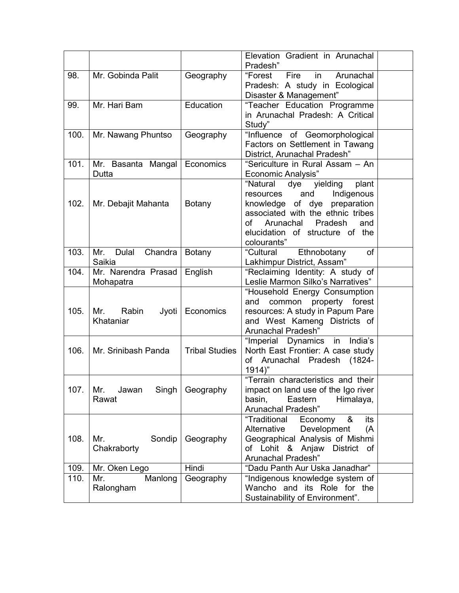|      |                                    |                       | Elevation Gradient in Arunachal<br>Pradesh"                                                                                                                                                                                        |  |
|------|------------------------------------|-----------------------|------------------------------------------------------------------------------------------------------------------------------------------------------------------------------------------------------------------------------------|--|
| 98.  | Mr. Gobinda Palit                  | Geography             | "Forest<br>Fire<br>in<br>Arunachal<br>Pradesh: A study in Ecological<br>Disaster & Management"                                                                                                                                     |  |
| 99.  | Mr. Hari Bam                       | Education             | "Teacher Education Programme<br>in Arunachal Pradesh: A Critical<br>Study"                                                                                                                                                         |  |
| 100. | Mr. Nawang Phuntso                 | Geography             | "Influence of Geomorphological<br>Factors on Settlement in Tawang<br>District, Arunachal Pradesh"                                                                                                                                  |  |
| 101. | Mr. Basanta Mangal<br>Dutta        | Economics             | "Sericulture in Rural Assam - An<br><b>Economic Analysis"</b>                                                                                                                                                                      |  |
| 102. | Mr. Debajit Mahanta                | Botany                | "Natural<br>dye<br>yielding<br>plant<br>and<br>Indigenous<br>resources<br>knowledge of dye preparation<br>associated with the ethnic tribes<br>Arunachal<br>Pradesh<br>of<br>and<br>elucidation of structure of the<br>colourants" |  |
| 103. | Dulal<br>Chandra<br>Mr.<br>Saikia  | <b>Botany</b>         | of<br>Ethnobotany<br>"Cultural<br>Lakhimpur District, Assam"                                                                                                                                                                       |  |
| 104. | Mr. Narendra Prasad<br>Mohapatra   | English               | "Reclaiming Identity: A study of<br>Leslie Marmon Silko's Narratives"                                                                                                                                                              |  |
| 105. | Mr.<br>Rabin<br>Jyoti<br>Khataniar | Economics             | "Household Energy Consumption<br>property<br>forest<br>and<br>common<br>resources: A study in Papum Pare<br>and West Kameng Districts of<br>Arunachal Pradesh"                                                                     |  |
| 106. | Mr. Srinibash Panda                | <b>Tribal Studies</b> | "Imperial Dynamics in<br>India's<br>North East Frontier: A case study<br>of Arunachal Pradesh (1824-<br>$1914)$ "                                                                                                                  |  |
| 107. | Singh<br>Mr.<br>Jawan<br>Rawat     | Geography             | "Terrain characteristics and their<br>impact on land use of the Igo river<br>basin,<br>Eastern<br>Himalaya,<br>Arunachal Pradesh"                                                                                                  |  |
| 108. | Sondip<br>Mr.<br>Chakraborty       | Geography             | "Traditional<br>&<br>its<br>Economy<br>Alternative<br>Development<br>(A<br>Geographical Analysis of Mishmi<br>of Lohit & Anjaw<br><b>District</b><br>of<br>Arunachal Pradesh"                                                      |  |
| 109. | Mr. Oken Lego                      | Hindi                 | "Dadu Panth Aur Uska Janadhar"                                                                                                                                                                                                     |  |
| 110. | Mr.<br>Manlong<br>Ralongham        | Geography             | "Indigenous knowledge system of<br>Wancho and its Role for the<br>Sustainability of Environment".                                                                                                                                  |  |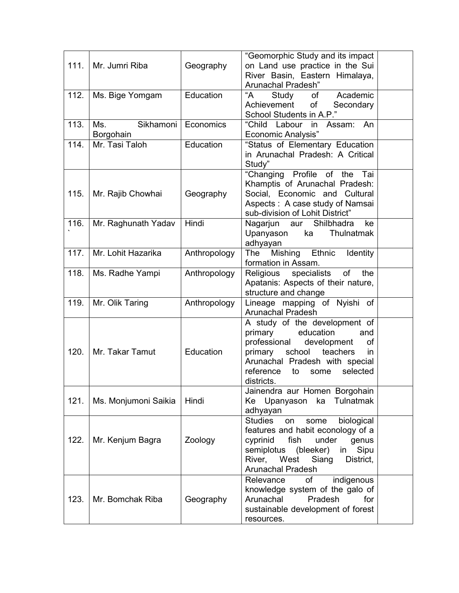| 111. | Mr. Jumri Riba                | Geography        | "Geomorphic Study and its impact<br>on Land use practice in the Sui<br>River Basin, Eastern Himalaya,<br>Arunachal Pradesh"                                                                                                        |  |
|------|-------------------------------|------------------|------------------------------------------------------------------------------------------------------------------------------------------------------------------------------------------------------------------------------------|--|
| 112. | Ms. Bige Yomgam               | Education        | "A<br>Academic<br>Study<br>of<br>of<br>Achievement<br>Secondary<br>School Students in A.P."                                                                                                                                        |  |
| 113. | Sikhamoni<br>Ms.<br>Borgohain | Economics        | "Child Labour in<br>Assam: An<br><b>Economic Analysis"</b>                                                                                                                                                                         |  |
| 114. | Mr. Tasi Taloh                | Education        | "Status of Elementary Education<br>in Arunachal Pradesh: A Critical<br>Study"                                                                                                                                                      |  |
| 115. | Mr. Rajib Chowhai             | Geography        | "Changing Profile of the Tai<br>Khamptis of Arunachal Pradesh:<br>Social, Economic and Cultural<br>Aspects: A case study of Namsai<br>sub-division of Lohit District"                                                              |  |
| 116. | Mr. Raghunath Yadav           | Hindi            | Nagarjun aur Shilbhadra<br>ke<br>Upanyason<br>ka<br>Thulnatmak<br>adhyayan                                                                                                                                                         |  |
| 117. | Mr. Lohit Hazarika            | Anthropology     | Ethnic<br>Mishing<br>The<br><b>Identity</b><br>formation in Assam.                                                                                                                                                                 |  |
| 118. | Ms. Radhe Yampi               | Anthropology     | of<br>Religious<br>specialists<br>the<br>Apatanis: Aspects of their nature,<br>structure and change                                                                                                                                |  |
| 119. | Mr. Olik Taring               | Anthropology     | Lineage mapping of Nyishi of<br><b>Arunachal Pradesh</b>                                                                                                                                                                           |  |
| 120. | Mr. Takar Tamut               | <b>Education</b> | A study of the development of<br>education<br>primary<br>and<br>professional<br>development<br>of<br>primary school<br>teachers<br>in<br>Arunachal Pradesh with special<br>reference<br>selected<br>to<br>some<br>districts.       |  |
| 121. | Ms. Monjumoni Saikia          | Hindi            | Jainendra aur Homen Borgohain<br>Ke Upanyason<br>Tulnatmak<br>ka<br>adhyayan                                                                                                                                                       |  |
| 122. | Mr. Kenjum Bagra              | Zoology          | <b>Studies</b><br>biological<br>some<br>on<br>features and habit econology of a<br>fish<br>under<br>cyprinid<br>genus<br>semiplotus<br>(bleeker)<br>Sipu<br>in<br>West<br>River,<br>Siang<br>District,<br><b>Arunachal Pradesh</b> |  |
| 123. | Mr. Bomchak Riba              | Geography        | <b>of</b><br>Relevance<br>indigenous<br>knowledge system of the galo of<br>Arunachal<br>Pradesh<br>for<br>sustainable development of forest<br>resources.                                                                          |  |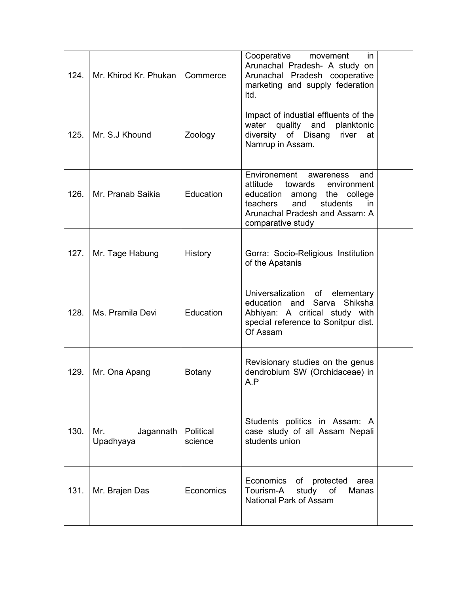| 124. | Mr. Khirod Kr. Phukan         | Commerce             | Cooperative<br>in.<br>movement<br>Arunachal Pradesh- A study on<br>Arunachal Pradesh cooperative<br>marketing and supply federation<br>Itd.                                                     |  |
|------|-------------------------------|----------------------|-------------------------------------------------------------------------------------------------------------------------------------------------------------------------------------------------|--|
| 125. | Mr. S.J Khound                | Zoology              | Impact of industial effluents of the<br>water quality and<br>planktonic<br>diversity of Disang river<br>at<br>Namrup in Assam.                                                                  |  |
| 126. | Mr. Pranab Saikia             | Education            | Environement<br>awareness<br>and<br>attitude towards<br>environment<br>education among the college<br>and<br>teachers<br>students<br>in.<br>Arunachal Pradesh and Assam: A<br>comparative study |  |
| 127. | Mr. Tage Habung               | History              | Gorra: Socio-Religious Institution<br>of the Apatanis                                                                                                                                           |  |
| 128. | Ms. Pramila Devi              | Education            | Universalization of<br>elementary<br>Sarva<br>Shiksha<br>education and<br>Abhiyan: A critical study with<br>special reference to Sonitpur dist.<br>Of Assam                                     |  |
| 129. | Mr. Ona Apang                 | <b>Botany</b>        | Revisionary studies on the genus<br>dendrobium SW (Orchidaceae) in<br>A.P                                                                                                                       |  |
| 130. | Jagannath<br>Mr.<br>Upadhyaya | Political<br>science | Students politics in Assam: A<br>case study of all Assam Nepali<br>students union                                                                                                               |  |
| 131. | Mr. Brajen Das                | Economics            | Economics of protected<br>area<br>Tourism-A<br>study<br>of<br>Manas<br>National Park of Assam                                                                                                   |  |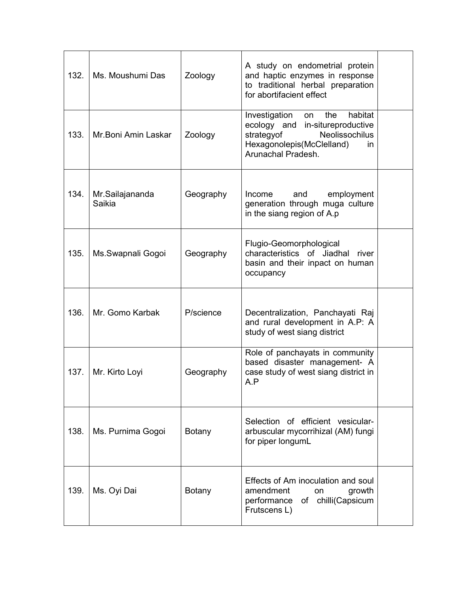| 132. | Ms. Moushumi Das          | Zoology       | A study on endometrial protein<br>and haptic enzymes in response<br>to traditional herbal preparation<br>for abortifacient effect                                     |  |
|------|---------------------------|---------------|-----------------------------------------------------------------------------------------------------------------------------------------------------------------------|--|
| 133. | Mr.Boni Amin Laskar       | Zoology       | the<br>habitat<br>Investigation<br>on<br>ecology and<br>in-situreproductive<br>Neolissochilus<br>strategyof<br>Hexagonolepis(McClelland)<br>in.<br>Arunachal Pradesh. |  |
| 134. | Mr.Sailajananda<br>Saikia | Geography     | employment<br>Income<br>and<br>generation through muga culture<br>in the siang region of A.p                                                                          |  |
| 135. | Ms.Swapnali Gogoi         | Geography     | Flugio-Geomorphological<br>characteristics of Jiadhal<br>river<br>basin and their inpact on human<br>occupancy                                                        |  |
| 136. | Mr. Gomo Karbak           | P/science     | Decentralization, Panchayati Raj<br>and rural development in A.P: A<br>study of west siang district                                                                   |  |
| 137. | Mr. Kirto Loyi            | Geography     | Role of panchayats in community<br>based disaster management- A<br>case study of west siang district in<br>A.P                                                        |  |
| 138. | Ms. Purnima Gogoi         | <b>Botany</b> | Selection of efficient vesicular-<br>arbuscular mycorrihizal (AM) fungi<br>for piper longumL                                                                          |  |
| 139. | Ms. Oyi Dai               | <b>Botany</b> | Effects of Am inoculation and soul<br>amendment<br>growth<br>on.<br>of chilli(Capsicum<br>performance<br>Frutscens L)                                                 |  |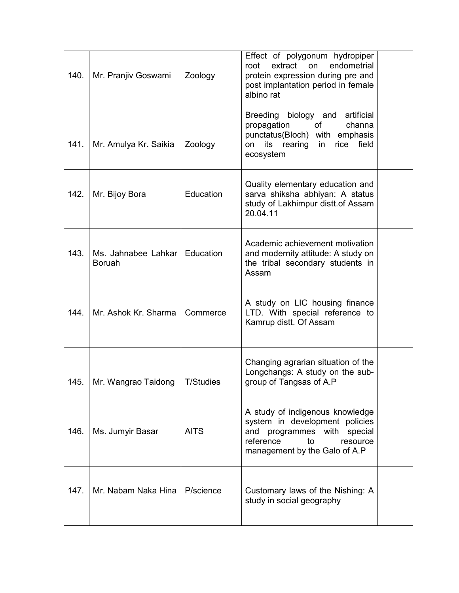| 140. | Mr. Pranjiv Goswami                  | Zoology          | Effect of polygonum hydropiper<br>endometrial<br>root<br>extract on<br>protein expression during pre and<br>post implantation period in female<br>albino rat                  |  |
|------|--------------------------------------|------------------|-------------------------------------------------------------------------------------------------------------------------------------------------------------------------------|--|
| 141. | Mr. Amulya Kr. Saikia                | Zoology          | artificial<br><b>Breeding</b><br>biology and<br>propagation<br><b>of</b><br>channa<br>punctatus(Bloch) with emphasis<br>its rearing<br>field<br>rice<br>on<br>in<br>ecosystem |  |
| 142. | Mr. Bijoy Bora                       | Education        | Quality elementary education and<br>sarva shiksha abhiyan: A status<br>study of Lakhimpur distt.of Assam<br>20.04.11                                                          |  |
| 143. | Ms. Jahnabee Lahkar<br><b>Boruah</b> | Education        | Academic achievement motivation<br>and modernity attitude: A study on<br>the tribal secondary students in<br>Assam                                                            |  |
| 144. | Mr. Ashok Kr. Sharma                 | Commerce         | A study on LIC housing finance<br>LTD. With special reference to<br>Kamrup distt. Of Assam                                                                                    |  |
| 145. | Mr. Wangrao Taidong                  | <b>T/Studies</b> | Changing agrarian situation of the<br>Longchangs: A study on the sub-<br>group of Tangsas of A.P                                                                              |  |
| 146. | Ms. Jumyir Basar                     | <b>AITS</b>      | A study of indigenous knowledge<br>system in development policies<br>and<br>programmes with special<br>reference<br>to<br>resource<br>management by the Galo of A.P           |  |
| 147. | Mr. Nabam Naka Hina                  | P/science        | Customary laws of the Nishing: A<br>study in social geography                                                                                                                 |  |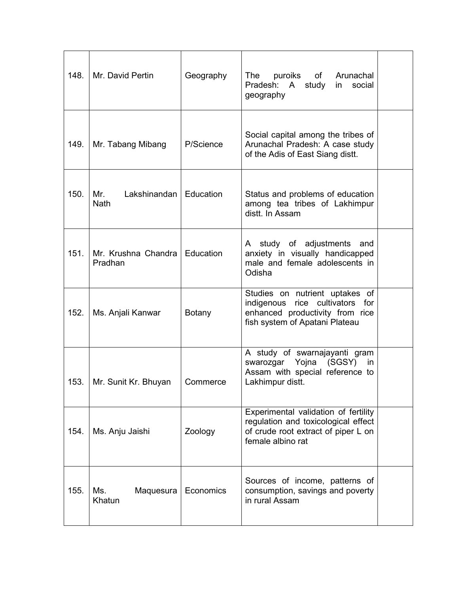| 148. | Mr. David Pertin                   | Geography     | puroiks<br>Arunachal<br>The<br>of<br>Pradesh: A<br>study<br>social<br>in<br>geography                                                        |  |
|------|------------------------------------|---------------|----------------------------------------------------------------------------------------------------------------------------------------------|--|
| 149. | Mr. Tabang Mibang                  | P/Science     | Social capital among the tribes of<br>Arunachal Pradesh: A case study<br>of the Adis of East Siang distt.                                    |  |
| 150. | Mr.<br>Lakshinandan<br><b>Nath</b> | Education     | Status and problems of education<br>among tea tribes of Lakhimpur<br>distt. In Assam                                                         |  |
| 151. | Mr. Krushna Chandra<br>Pradhan     | Education     | A study of adjustments and<br>anxiety in visually handicapped<br>male and female adolescents in<br>Odisha                                    |  |
| 152. | Ms. Anjali Kanwar                  | <b>Botany</b> | Studies on nutrient uptakes of<br>indigenous<br>rice cultivators<br>for<br>enhanced productivity from rice<br>fish system of Apatani Plateau |  |
| 153. | Mr. Sunit Kr. Bhuyan               | Commerce      | A study of swarnajayanti gram<br>Yojna<br>(SGSY)<br>swarozgar<br>in<br>Assam with special reference to<br>Lakhimpur distt.                   |  |
| 154. | Ms. Anju Jaishi                    | Zoology       | Experimental validation of fertility<br>regulation and toxicological effect<br>of crude root extract of piper L on<br>female albino rat      |  |
| 155. | Ms.<br>Maquesura<br>Khatun         | Economics     | Sources of income, patterns of<br>consumption, savings and poverty<br>in rural Assam                                                         |  |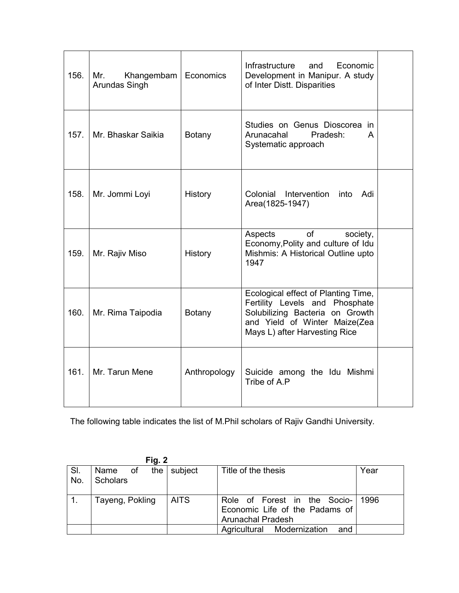| 156. | Mr.<br>Khangembam<br>Arundas Singh | Economics     | Infrastructure<br>Economic<br>and<br>Development in Manipur. A study<br>of Inter Distt. Disparities                                                                        |  |
|------|------------------------------------|---------------|----------------------------------------------------------------------------------------------------------------------------------------------------------------------------|--|
| 157. | Mr. Bhaskar Saikia                 | <b>Botany</b> | Studies on Genus Dioscorea in<br>Arunacahal<br>Pradesh:<br>A<br>Systematic approach                                                                                        |  |
| 158. | Mr. Jommi Loyi                     | History       | Intervention<br>Colonial<br>into<br>Adi<br>Area(1825-1947)                                                                                                                 |  |
| 159. | Mr. Rajiv Miso                     | History       | Aspects<br>of<br>society,<br>Economy, Polity and culture of Idu<br>Mishmis: A Historical Outline upto<br>1947                                                              |  |
| 160. | Mr. Rima Taipodia                  | <b>Botany</b> | Ecological effect of Planting Time,<br>Fertility Levels and Phosphate<br>Solubilizing Bacteria on Growth<br>and Yield of Winter Maize(Zea<br>Mays L) after Harvesting Rice |  |
| 161. | Mr. Tarun Mene                     | Anthropology  | Suicide among the Idu Mishmi<br>Tribe of A.P                                                                                                                               |  |

The following table indicates the list of M.Phil scholars of Rajiv Gandhi University.

| гіч. 4     |                                     |             |                                                                                            |      |
|------------|-------------------------------------|-------------|--------------------------------------------------------------------------------------------|------|
| SI.<br>No. | the I<br>Name of<br><b>Scholars</b> | subject     | Title of the thesis                                                                        | Year |
|            | Tayeng, Pokling                     | <b>AITS</b> | Role of Forest in the Socio-<br>Economic Life of the Padams of<br><b>Arunachal Pradesh</b> | 1996 |
|            |                                     |             | Agricultural Modernization<br>and                                                          |      |

 $Find 2$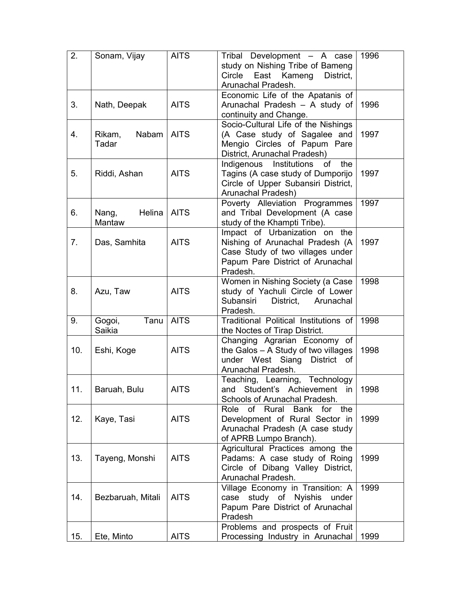| 2.  | Sonam, Vijay              | <b>AITS</b> | Tribal Development - A case<br>study on Nishing Tribe of Bameng<br>Circle East Kameng<br>District,<br>Arunachal Pradesh.                             | 1996 |
|-----|---------------------------|-------------|------------------------------------------------------------------------------------------------------------------------------------------------------|------|
| 3.  | Nath, Deepak              | <b>AITS</b> | Economic Life of the Apatanis of<br>Arunachal Pradesh - A study of<br>continuity and Change.                                                         | 1996 |
| 4.  | Nabam<br>Rikam,<br>Tadar  | <b>AITS</b> | Socio-Cultural Life of the Nishings<br>(A Case study of Sagalee and<br>Mengio Circles of Papum Pare<br>District, Arunachal Pradesh)                  | 1997 |
| 5.  | Riddi, Ashan              | <b>AITS</b> | Indigenous<br>Institutions<br>of<br>the<br>Tagins (A case study of Dumporijo<br>Circle of Upper Subansiri District,<br>Arunachal Pradesh)            | 1997 |
| 6.  | Helina<br>Nang,<br>Mantaw | <b>AITS</b> | Poverty Alleviation Programmes<br>and Tribal Development (A case<br>study of the Khampti Tribe).                                                     | 1997 |
| 7.  | Das, Samhita              | <b>AITS</b> | Impact of Urbanization on the<br>Nishing of Arunachal Pradesh (A<br>Case Study of two villages under<br>Papum Pare District of Arunachal<br>Pradesh. | 1997 |
| 8.  | Azu, Taw                  | <b>AITS</b> | Women in Nishing Society (a Case<br>study of Yachuli Circle of Lower<br>Subansiri<br>District,<br>Arunachal<br>Pradesh.                              | 1998 |
| 9.  | Tanu<br>Gogoi,<br>Saikia  | <b>AITS</b> | Traditional Political Institutions of<br>the Noctes of Tirap District.                                                                               | 1998 |
| 10. | Eshi, Koge                | <b>AITS</b> | Changing Agrarian Economy of<br>the Galos - A Study of two villages<br>under West Siang<br>District of<br>Arunachal Pradesh.                         | 1998 |
| 11. | Baruah, Bulu              | <b>AITS</b> | Teaching, Learning, Technology<br>Student's Achievement in<br>and<br>Schools of Arunachal Pradesh.                                                   | 1998 |
| 12. | Kaye, Tasi                | <b>AITS</b> | Role<br>of Rural<br>Bank for the<br>Development of Rural Sector in<br>Arunachal Pradesh (A case study<br>of APRB Lumpo Branch).                      | 1999 |
| 13. | Tayeng, Monshi            | <b>AITS</b> | Agricultural Practices among the<br>Padams: A case study of Roing<br>Circle of Dibang Valley District,<br>Arunachal Pradesh.                         | 1999 |
| 14. | Bezbaruah, Mitali         | <b>AITS</b> | Village Economy in Transition: A<br>case study of Nyishis<br>under<br>Papum Pare District of Arunachal<br>Pradesh                                    | 1999 |
| 15. | Ete, Minto                | <b>AITS</b> | Problems and prospects of Fruit<br>Processing Industry in Arunachal                                                                                  | 1999 |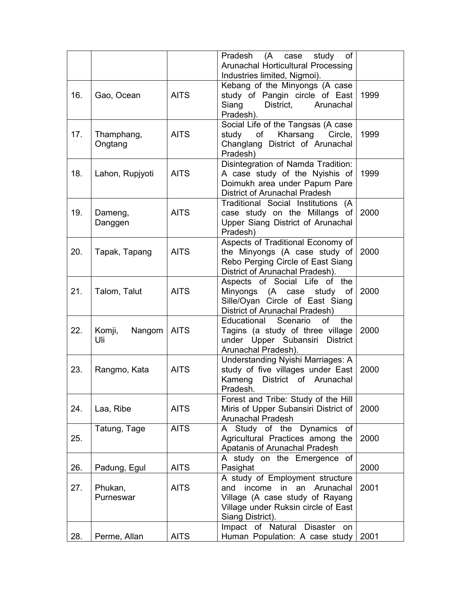|     |                  |             | (A)<br>Pradesh<br>case<br>study<br>of                            |      |
|-----|------------------|-------------|------------------------------------------------------------------|------|
|     |                  |             | Arunachal Horticultural Processing                               |      |
|     |                  |             | Industries limited, Nigmoi).                                     |      |
| 16. | Gao, Ocean       | <b>AITS</b> | Kebang of the Minyongs (A case<br>study of Pangin circle of East | 1999 |
|     |                  |             | District,<br>Siang<br>Arunachal                                  |      |
|     |                  |             | Pradesh).                                                        |      |
|     |                  |             | Social Life of the Tangsas (A case                               |      |
| 17. | Thamphang,       | <b>AITS</b> | of<br>Kharsang Circle,<br>study                                  | 1999 |
|     | Ongtang          |             | Changlang District of Arunachal                                  |      |
|     |                  |             | Pradesh)<br>Disintegration of Namda Tradition:                   |      |
| 18. | Lahon, Rupjyoti  | <b>AITS</b> | A case study of the Nyishis of                                   | 1999 |
|     |                  |             | Doimukh area under Papum Pare                                    |      |
|     |                  |             | <b>District of Arunachal Pradesh</b>                             |      |
|     |                  |             | Traditional Social Institutions (A                               |      |
| 19. | Dameng,          | <b>AITS</b> | case study on the Millangs of                                    | 2000 |
|     | Danggen          |             | Upper Siang District of Arunachal<br>Pradesh)                    |      |
|     |                  |             | Aspects of Traditional Economy of                                |      |
| 20. | Tapak, Tapang    | <b>AITS</b> | the Minyongs (A case study of                                    | 2000 |
|     |                  |             | Rebo Perging Circle of East Siang                                |      |
|     |                  |             | District of Arunachal Pradesh).                                  |      |
| 21. |                  |             | Aspects of Social Life of the                                    |      |
|     | Talom, Talut     | <b>AITS</b> | Minyongs (A case<br>study of<br>Sille/Oyan Circle of East Siang  | 2000 |
|     |                  |             | District of Arunachal Pradesh)                                   |      |
|     |                  |             | Scenario<br>the<br>Educational<br>of                             |      |
| 22. | Komji,<br>Nangom | <b>AITS</b> | Tagins (a study of three village                                 | 2000 |
|     | Uli              |             | under Upper Subansiri District                                   |      |
|     |                  |             | Arunachal Pradesh).<br>Understanding Nyishi Marriages: A         |      |
| 23. | Rangmo, Kata     | <b>AITS</b> | study of five villages under East                                | 2000 |
|     |                  |             | Kameng District of Arunachal                                     |      |
|     |                  |             | Pradesh.                                                         |      |
|     |                  |             | Forest and Tribe: Study of the Hill                              |      |
| 24. | Laa, Ribe        | <b>AITS</b> | Miris of Upper Subansiri District of<br><b>Arunachal Pradesh</b> | 2000 |
|     | Tatung, Tage     | <b>AITS</b> | A Study of the Dynamics<br>0f                                    |      |
| 25. |                  |             | Agricultural Practices among the                                 | 2000 |
|     |                  |             | <b>Apatanis of Arunachal Pradesh</b>                             |      |
|     |                  |             | A study on the Emergence of                                      |      |
| 26. | Padung, Egul     | <b>AITS</b> | Pasighat<br>A study of Employment structure                      | 2000 |
| 27. | Phukan,          | <b>AITS</b> | income in<br>Arunachal<br>and<br>an                              | 2001 |
|     | Purneswar        |             | Village (A case study of Rayang                                  |      |
|     |                  |             | Village under Ruksin circle of East                              |      |
|     |                  |             | Siang District).                                                 |      |
|     |                  |             | Impact of Natural Disaster<br>on                                 |      |
| 28. | Perme, Allan     | <b>AITS</b> | Human Population: A case study                                   | 2001 |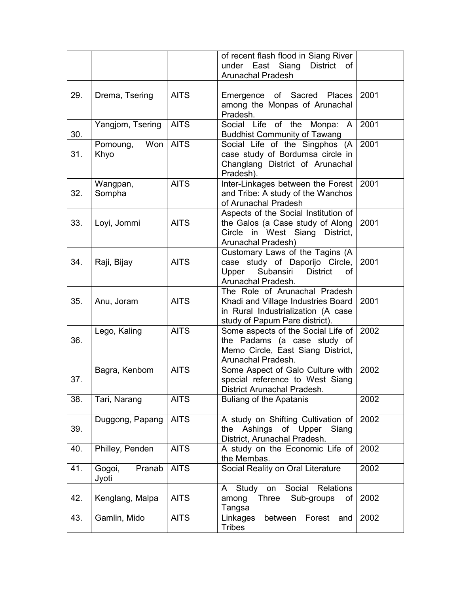|     |                           |             | of recent flash flood in Siang River<br>under East Siang<br><b>District</b><br>οf<br><b>Arunachal Pradesh</b>                               |      |
|-----|---------------------------|-------------|---------------------------------------------------------------------------------------------------------------------------------------------|------|
| 29. | Drema, Tsering            | <b>AITS</b> | Emergence of Sacred Places<br>among the Monpas of Arunachal<br>Pradesh.                                                                     | 2001 |
| 30. | Yangjom, Tsering          | <b>AITS</b> | Social Life of the Monpa:<br>$\mathsf{A}$<br><b>Buddhist Community of Tawang</b>                                                            | 2001 |
| 31. | Won<br>Pomoung,<br>Khyo   | <b>AITS</b> | Social Life of the Singphos (A<br>case study of Bordumsa circle in<br>Changlang District of Arunachal<br>Pradesh).                          | 2001 |
| 32. | Wangpan,<br>Sompha        | <b>AITS</b> | Inter-Linkages between the Forest<br>and Tribe: A study of the Wanchos<br>of Arunachal Pradesh                                              | 2001 |
| 33. | Loyi, Jommi               | <b>AITS</b> | Aspects of the Social Institution of<br>the Galos (a Case study of Along<br>Circle in West Siang District,<br>Arunachal Pradesh)            | 2001 |
| 34. | Raji, Bijay               | <b>AITS</b> | Customary Laws of the Tagins (A<br>case study of Daporijo Circle,<br>Subansiri<br>Upper<br><b>District</b><br>οf<br>Arunachal Pradesh.      | 2001 |
| 35. | Anu, Joram                | <b>AITS</b> | The Role of Arunachal Pradesh<br>Khadi and Village Industries Board<br>in Rural Industrialization (A case<br>study of Papum Pare district). | 2001 |
| 36. | Lego, Kaling              | <b>AITS</b> | Some aspects of the Social Life of<br>the Padams (a case study of<br>Memo Circle, East Siang District,<br>Arunachal Pradesh.                | 2002 |
| 37. | Bagra, Kenbom             | <b>AITS</b> | Some Aspect of Galo Culture with<br>special reference to West Siang<br>District Arunachal Pradesh.                                          | 2002 |
| 38. | Tari, Narang              | <b>AITS</b> | <b>Buliang of the Apatanis</b>                                                                                                              | 2002 |
| 39. | Duggong, Papang           | <b>AITS</b> | A study on Shifting Cultivation of<br>Ashings<br>of Upper Siang<br>the<br>District, Arunachal Pradesh.                                      | 2002 |
| 40. | Philley, Penden           | <b>AITS</b> | A study on the Economic Life of<br>the Membas.                                                                                              | 2002 |
| 41. | Pranab<br>Gogoi,<br>Jyoti | <b>AITS</b> | Social Reality on Oral Literature                                                                                                           | 2002 |
| 42. | Kenglang, Malpa           | <b>AITS</b> | Social<br><b>Relations</b><br>Study<br>on<br>A<br>Three<br>Sub-groups<br>among<br>of<br>Tangsa                                              | 2002 |
| 43. | Gamlin, Mido              | <b>AITS</b> | Linkages<br>between<br>Forest<br>and<br><b>Tribes</b>                                                                                       | 2002 |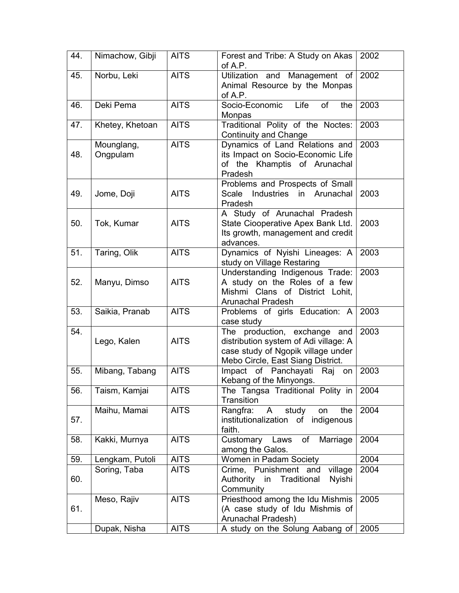| 44. | Nimachow, Gibji        | <b>AITS</b> | Forest and Tribe: A Study on Akas<br>of A.P.                                                                                                     | 2002 |
|-----|------------------------|-------------|--------------------------------------------------------------------------------------------------------------------------------------------------|------|
| 45. | Norbu, Leki            | <b>AITS</b> | Utilization and Management of<br>Animal Resource by the Monpas<br>of A.P.                                                                        | 2002 |
| 46. | Deki Pema              | <b>AITS</b> | Life<br><b>of</b><br>Socio-Economic<br>the<br>Monpas                                                                                             | 2003 |
| 47. | Khetey, Khetoan        | <b>AITS</b> | Traditional Polity of the Noctes:<br><b>Continuity and Change</b>                                                                                | 2003 |
| 48. | Mounglang,<br>Ongpulam | <b>AITS</b> | Dynamics of Land Relations and<br>its Impact on Socio-Economic Life<br>of the Khamptis of Arunachal<br>Pradesh                                   | 2003 |
| 49. | Jome, Doji             | <b>AITS</b> | Problems and Prospects of Small<br>Scale Industries in Arunachal<br>Pradesh                                                                      | 2003 |
| 50. | Tok, Kumar             | <b>AITS</b> | A Study of Arunachal Pradesh<br>State Ciooperative Apex Bank Ltd.<br>Its growth, management and credit<br>advances.                              | 2003 |
| 51. | Taring, Olik           | <b>AITS</b> | Dynamics of Nyishi Lineages: A<br>study on Village Restaring                                                                                     | 2003 |
| 52. | Manyu, Dimso           | <b>AITS</b> | Understanding Indigenous Trade:<br>A study on the Roles of a few<br>Mishmi Clans of District Lohit,<br><b>Arunachal Pradesh</b>                  | 2003 |
| 53. | Saikia, Pranab         | <b>AITS</b> | Problems of girls Education: A<br>case study                                                                                                     | 2003 |
| 54. | Lego, Kalen            | <b>AITS</b> | The production, exchange and<br>distribution system of Adi village: A<br>case study of Ngopik village under<br>Mebo Circle, East Siang District. | 2003 |
| 55. | Mibang, Tabang         | <b>AITS</b> | Impact of Panchayati<br>Raj<br>on<br>Kebang of the Minyongs.                                                                                     | 2003 |
| 56. | Taism, Kamjai          | <b>AITS</b> | The Tangsa Traditional Polity in<br>Transition                                                                                                   | 2004 |
| 57. | Maihu, Mamai           | <b>AITS</b> | study<br>Rangfra:<br>$\mathsf{A}$<br>the<br>on<br>institutionalization of indigenous<br>faith.                                                   | 2004 |
| 58. | Kakki, Murnya          | <b>AITS</b> | Customary Laws<br>Marriage<br>of<br>among the Galos.                                                                                             | 2004 |
| 59. | Lengkam, Putoli        | <b>AITS</b> | Women in Padam Society                                                                                                                           | 2004 |
| 60. | Soring, Taba           | <b>AITS</b> | Crime, Punishment and<br>village<br>Authority in<br>Nyishi<br>Traditional<br>Community                                                           | 2004 |
| 61. | Meso, Rajiv            | <b>AITS</b> | Priesthood among the Idu Mishmis<br>(A case study of Idu Mishmis of<br>Arunachal Pradesh)                                                        | 2005 |
|     | Dupak, Nisha           | <b>AITS</b> | A study on the Solung Aabang of                                                                                                                  | 2005 |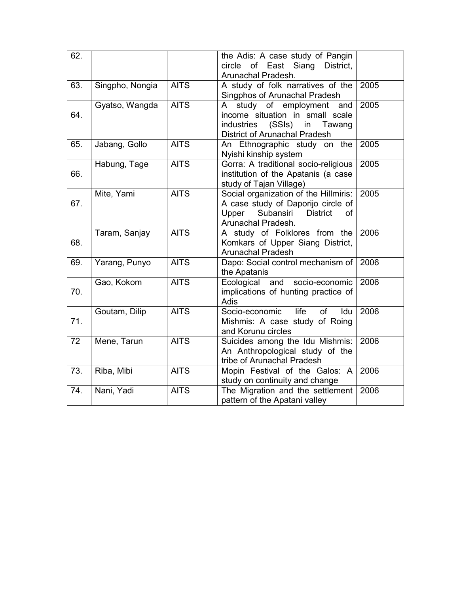| 62. |                 |             | the Adis: A case study of Pangin<br>of East Siang<br>circle<br>District,<br>Arunachal Pradesh.                                                          |      |
|-----|-----------------|-------------|---------------------------------------------------------------------------------------------------------------------------------------------------------|------|
| 63. | Singpho, Nongia | <b>AITS</b> | A study of folk narratives of the<br>Singphos of Arunachal Pradesh                                                                                      | 2005 |
| 64. | Gyatso, Wangda  | <b>AITS</b> | study of employment and<br>$\mathsf{A}$<br>income situation in small scale<br>(SSls)<br>industries<br>in<br>Tawang<br>District of Arunachal Pradesh     | 2005 |
| 65. | Jabang, Gollo   | <b>AITS</b> | An Ethnographic study on the<br>Nyishi kinship system                                                                                                   | 2005 |
| 66. | Habung, Tage    | <b>AITS</b> | Gorra: A traditional socio-religious<br>institution of the Apatanis (a case<br>study of Tajan Village)                                                  | 2005 |
| 67. | Mite, Yami      | <b>AITS</b> | Social organization of the Hillmiris:<br>A case study of Daporijo circle of<br>Subansiri<br>Upper<br><b>District</b><br><b>of</b><br>Arunachal Pradesh. | 2005 |
| 68. | Taram, Sanjay   | <b>AITS</b> | A study of Folklores from the<br>Komkars of Upper Siang District,<br><b>Arunachal Pradesh</b>                                                           | 2006 |
| 69. | Yarang, Punyo   | <b>AITS</b> | Dapo: Social control mechanism of<br>the Apatanis                                                                                                       | 2006 |
| 70. | Gao, Kokom      | <b>AITS</b> | and<br>socio-economic<br>Ecological<br>implications of hunting practice of<br>Adis                                                                      | 2006 |
| 71. | Goutam, Dilip   | <b>AITS</b> | Socio-economic<br>life<br><b>of</b><br>Idu<br>Mishmis: A case study of Roing<br>and Korunu circles                                                      | 2006 |
| 72  | Mene, Tarun     | <b>AITS</b> | Suicides among the Idu Mishmis:<br>An Anthropological study of the<br>tribe of Arunachal Pradesh                                                        | 2006 |
| 73. | Riba, Mibi      | <b>AITS</b> | Mopin Festival of the Galos: A<br>study on continuity and change                                                                                        | 2006 |
| 74. | Nani, Yadi      | <b>AITS</b> | The Migration and the settlement<br>pattern of the Apatani valley                                                                                       | 2006 |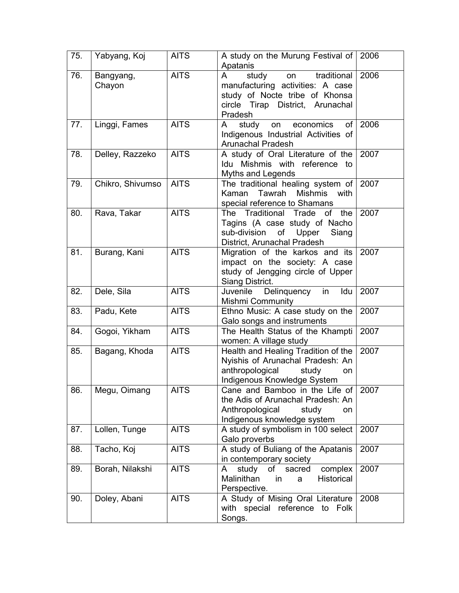| 75. | Yabyang, Koj        | <b>AITS</b> | A study on the Murung Festival of<br>Apatanis                                                                                                                   | 2006 |
|-----|---------------------|-------------|-----------------------------------------------------------------------------------------------------------------------------------------------------------------|------|
| 76. | Bangyang,<br>Chayon | <b>AITS</b> | traditional<br>$\mathsf{A}$<br>study<br>on<br>manufacturing activities: A case<br>study of Nocte tribe of Khonsa<br>circle Tirap District, Arunachal<br>Pradesh | 2006 |
| 77. | Linggi, Fames       | <b>AITS</b> | economics<br>study<br>of<br>A<br>on<br>Indigenous Industrial Activities of<br><b>Arunachal Pradesh</b>                                                          | 2006 |
| 78. | Delley, Razzeko     | <b>AITS</b> | A study of Oral Literature of the<br>Idu Mishmis with reference to<br>Myths and Legends                                                                         | 2007 |
| 79. | Chikro, Shivumso    | <b>AITS</b> | The traditional healing system of<br>Tawrah<br><b>Mishmis</b><br>Kaman<br>with<br>special reference to Shamans                                                  | 2007 |
| 80. | Rava, Takar         | <b>AITS</b> | Traditional<br>Trade<br>the<br>The<br>of<br>Tagins (A case study of Nacho<br>sub-division<br>of Upper<br>Siang<br>District, Arunachal Pradesh                   | 2007 |
| 81. | Burang, Kani        | <b>AITS</b> | Migration of the karkos and its<br>impact on the society: A case<br>study of Jengging circle of Upper<br>Siang District.                                        | 2007 |
| 82. | Dele, Sila          | <b>AITS</b> | Juvenile Delinquency in<br>Idu<br><b>Mishmi Community</b>                                                                                                       | 2007 |
| 83. | Padu, Kete          | <b>AITS</b> | Ethno Music: A case study on the<br>Galo songs and instruments                                                                                                  | 2007 |
| 84. | Gogoi, Yikham       | <b>AITS</b> | The Health Status of the Khampti<br>women: A village study                                                                                                      | 2007 |
| 85. | Bagang, Khoda       | <b>AITS</b> | Health and Healing Tradition of the<br>Nyishis of Arunachal Pradesh: An<br>anthropological<br>study<br>on<br>Indigenous Knowledge System                        | 2007 |
| 86. | Megu, Oimang        | <b>AITS</b> | Cane and Bamboo in the Life of<br>the Adis of Arunachal Pradesh: An<br>Anthropological<br>study<br><b>on</b><br>Indigenous knowledge system                     | 2007 |
| 87. | Lollen, Tunge       | <b>AITS</b> | A study of symbolism in 100 select<br>Galo proverbs                                                                                                             | 2007 |
| 88. | Tacho, Koj          | <b>AITS</b> | A study of Buliang of the Apatanis<br>in contemporary society                                                                                                   | 2007 |
| 89. | Borah, Nilakshi     | <b>AITS</b> | complex<br>study<br>of<br>sacred<br>A<br>Malinithan<br>Historical<br>in<br>a<br>Perspective.                                                                    | 2007 |
| 90. | Doley, Abani        | <b>AITS</b> | A Study of Mising Oral Literature<br>with special reference to Folk<br>Songs.                                                                                   | 2008 |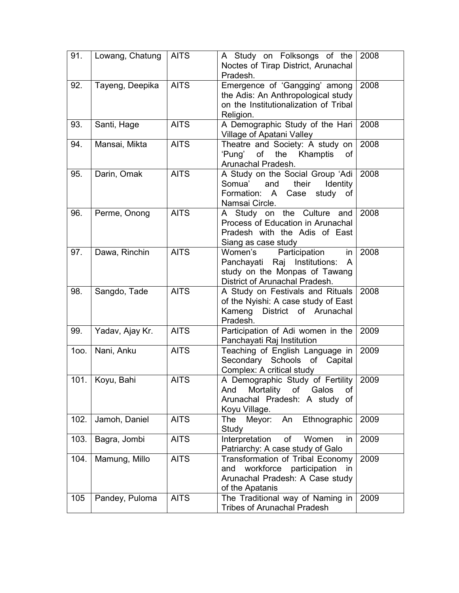| 91.  | Lowang, Chatung | <b>AITS</b> | A Study on Folksongs of the<br>Noctes of Tirap District, Arunachal<br>Pradesh.                                                         | 2008 |
|------|-----------------|-------------|----------------------------------------------------------------------------------------------------------------------------------------|------|
| 92.  | Tayeng, Deepika | <b>AITS</b> | Emergence of 'Gangging' among<br>the Adis: An Anthropological study<br>on the Institutionalization of Tribal<br>Religion.              | 2008 |
| 93.  | Santi, Hage     | <b>AITS</b> | A Demographic Study of the Hari<br>Village of Apatani Valley                                                                           | 2008 |
| 94.  | Mansai, Mikta   | <b>AITS</b> | Theatre and Society: A study on<br>'Pung'<br>of<br>the Khamptis<br>οf<br>Arunachal Pradesh.                                            | 2008 |
| 95.  | Darin, Omak     | <b>AITS</b> | A Study on the Social Group 'Adi<br>Somua'<br>and<br>their<br><b>Identity</b><br>study<br>Formation: A<br>Case<br>of<br>Namsai Circle. | 2008 |
| 96.  | Perme, Onong    | <b>AITS</b> | A Study on the Culture and<br>Process of Education in Arunachal<br>Pradesh with the Adis of East<br>Siang as case study                | 2008 |
| 97.  | Dawa, Rinchin   | <b>AITS</b> | Women's<br>Participation<br>in<br>Panchayati Raj Institutions:<br>A<br>study on the Monpas of Tawang<br>District of Arunachal Pradesh. | 2008 |
| 98.  | Sangdo, Tade    | <b>AITS</b> | A Study on Festivals and Rituals<br>of the Nyishi: A case study of East<br>District of Arunachal<br>Kameng<br>Pradesh.                 | 2008 |
| 99.  | Yadav, Ajay Kr. | <b>AITS</b> | Participation of Adi women in the<br>Panchayati Raj Institution                                                                        | 2009 |
| 100. | Nani, Anku      | <b>AITS</b> | Teaching of English Language in<br>Secondary Schools<br>of Capital<br>Complex: A critical study                                        | 2009 |
| 101. | Koyu, Bahi      | <b>AITS</b> | A Demographic Study of Fertility<br>Mortality of<br>Galos<br>And<br>οf<br>Arunachal Pradesh: A study of<br>Koyu Village.               | 2009 |
| 102. | Jamoh, Daniel   | <b>AITS</b> | Meyor:<br>An<br>Ethnographic<br><b>The</b><br>Study                                                                                    | 2009 |
| 103. | Bagra, Jombi    | <b>AITS</b> | Interpretation<br>of<br>Women<br>in<br>Patriarchy: A case study of Galo                                                                | 2009 |
| 104. | Mamung, Millo   | <b>AITS</b> | Transformation of Tribal Economy<br>workforce<br>participation<br>and<br>in.<br>Arunachal Pradesh: A Case study<br>of the Apatanis     | 2009 |
| 105  | Pandey, Puloma  | <b>AITS</b> | The Traditional way of Naming in<br><b>Tribes of Arunachal Pradesh</b>                                                                 | 2009 |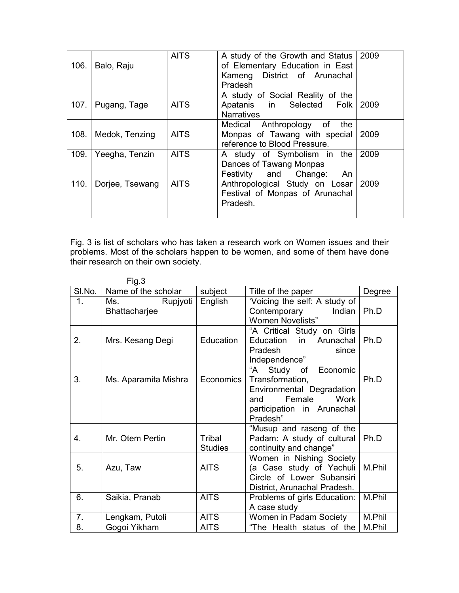| 106. | Balo, Raju      | <b>AITS</b> | A study of the Growth and Status   2009<br>of Elementary Education in East<br>Kameng District of Arunachal<br><b>Pradesh</b> |      |
|------|-----------------|-------------|------------------------------------------------------------------------------------------------------------------------------|------|
| 107. | Pugang, Tage    | <b>AITS</b> | A study of Social Reality of the<br>Apatanis in Selected Folk<br><b>Narratives</b>                                           | 2009 |
| 108. | Medok, Tenzing  | <b>AITS</b> | Medical Anthropology of<br>the<br>Monpas of Tawang with special<br>reference to Blood Pressure.                              | 2009 |
| 109. | Yeegha, Tenzin  | <b>AITS</b> | A study of Symbolism in the<br>Dances of Tawang Monpas                                                                       | 2009 |
| 110. | Dorjee, Tsewang | <b>AITS</b> | Festivity and Change:<br>An<br>Anthropological Study on Losar<br>Festival of Monpas of Arunachal<br>Pradesh.                 | 2009 |

Fig. 3 is list of scholars who has taken a research work on Women issues and their problems. Most of the scholars happen to be women, and some of them have done their research on their own society.

|        | Fig.3                            |                          |                                                                                                                                               |        |
|--------|----------------------------------|--------------------------|-----------------------------------------------------------------------------------------------------------------------------------------------|--------|
| SI.No. | Name of the scholar              | subject                  | Title of the paper                                                                                                                            | Degree |
| 1.     | Ms.<br>Rupjyoti<br>Bhattacharjee | English                  | 'Voicing the self: A study of<br>Contemporary<br>Indian<br><b>Women Novelists"</b>                                                            | Ph.D   |
| 2.     | Mrs. Kesang Degi                 | Education                | "A Critical Study on Girls<br>in Arunachal<br>Education<br>Pradesh<br>since<br>Independence"                                                  | Ph.D   |
| 3.     | Ms. Aparamita Mishra             | <b>Economics</b>         | "A<br>Study of<br>Economic<br>Transformation,<br>Environmental Degradation<br>Female<br>Work<br>and<br>participation in Arunachal<br>Pradesh" | Ph.D   |
| 4.     | Mr. Otem Pertin                  | Tribal<br><b>Studies</b> | "Musup and raseng of the<br>Padam: A study of cultural<br>continuity and change"                                                              | Ph.D   |
| 5.     | Azu, Taw                         | <b>AITS</b>              | Women in Nishing Society<br>(a Case study of Yachuli<br>Circle of Lower Subansiri<br>District, Arunachal Pradesh.                             | M.Phil |
| 6.     | Saikia, Pranab                   | <b>AITS</b>              | Problems of girls Education:<br>A case study                                                                                                  | M.Phil |
| 7.     | Lengkam, Putoli                  | <b>AITS</b>              | Women in Padam Society                                                                                                                        | M.Phil |
| 8.     | Gogoi Yikham                     | <b>AITS</b>              | "The Health status of the                                                                                                                     | M.Phil |